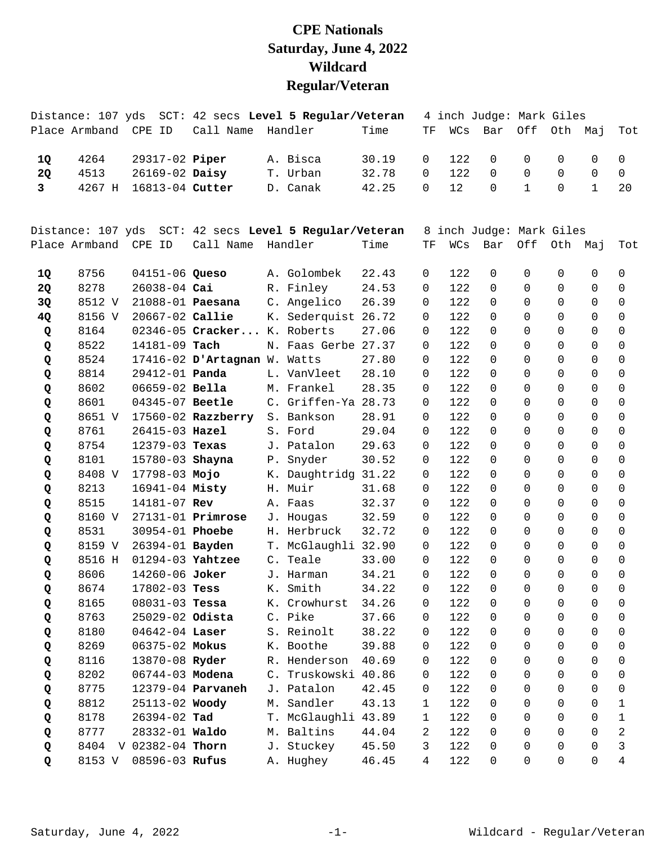## **CPE Nationals Saturday, June 4, 2022 Wildcard Regular/Veteran**

|              | Distance: 107 yds    |                       |                               | SCT: 42 secs Level 5 Regular/Veteran |       |              |     | 4 inch Judge: Mark Giles |              |             |              |             |
|--------------|----------------------|-----------------------|-------------------------------|--------------------------------------|-------|--------------|-----|--------------------------|--------------|-------------|--------------|-------------|
|              | Place Armband CPE ID |                       | Call Name Handler             |                                      | Time  | TF           | WCs | Bar                      | Off          |             | Oth Maj      | Tot         |
| 1Q           | 4264                 | 29317-02 Piper        |                               | A. Bisca                             | 30.19 | $\Omega$     | 122 | $\Omega$                 | 0            | 0           | 0            | $\mathbf 0$ |
| <b>2Q</b>    | 4513                 | 26169-02 Daisy        |                               | T. Urban                             | 32.78 | $\Omega$     | 122 | $\Omega$                 | $\Omega$     | $\Omega$    | $\Omega$     | $\mathbf 0$ |
| $\mathbf{3}$ | 4267 H               | 16813-04 Cutter       |                               | D. Canak                             | 42.25 | $\Omega$     | 12  | $\Omega$                 | $\mathbf{1}$ | $\Omega$    | $\mathbf{1}$ | 20          |
|              |                      |                       |                               |                                      |       |              |     |                          |              |             |              |             |
|              | Distance: 107 yds    |                       |                               | SCT: 42 secs Level 5 Regular/Veteran |       |              |     | 8 inch Judge: Mark Giles |              |             |              |             |
|              | Place Armband CPE ID |                       | Call Name Handler             |                                      | Time  | TF           | WCs | Bar                      | Off          | Oth Maj     |              | Tot         |
| 1Q           | 8756                 | 04151-06 Queso        |                               | A. Golombek                          | 22.43 | 0            | 122 | $\mathbf 0$              | 0            | 0           | 0            | 0           |
| <b>2Q</b>    | 8278                 | 26038-04 Cai          |                               | R. Finley                            | 24.53 | 0            | 122 | $\Omega$                 | $\Omega$     | $\Omega$    | $\Omega$     | 0           |
| 3Q           | 8512 V               | 21088-01 Paesana      |                               | C. Angelico                          | 26.39 | 0            | 122 | $\Omega$                 | $\Omega$     | $\Omega$    | $\Omega$     | $\mathbf 0$ |
| 4Q           | 8156 V               | 20667-02 Callie       |                               | K. Sederquist 26.72                  |       | 0            | 122 | $\Omega$                 | $\Omega$     | $\Omega$    | $\mathbf 0$  | $\mathbf 0$ |
| Q            | 8164                 |                       | 02346-05 Cracker K. Roberts   |                                      | 27.06 | 0            | 122 | $\Omega$                 | $\Omega$     | $\Omega$    | $\Omega$     | 0           |
| Q            | 8522                 | 14181-09 Tach         |                               | N. Faas Gerbe 27.37                  |       | 0            | 122 | $\Omega$                 | $\Omega$     | $\Omega$    | $\Omega$     | 0           |
| Q            | 8524                 |                       | 17416-02 D'Artagnan W. Watts  |                                      | 27.80 | 0            | 122 | $\Omega$                 | $\Omega$     | $\Omega$    | $\Omega$     | 0           |
| Q            | 8814                 | 29412-01 <b>Panda</b> |                               | L. VanVleet                          | 28.10 | 0            | 122 | $\Omega$                 | $\Omega$     | $\Omega$    | $\mathbf 0$  | 0           |
| Q            | 8602                 | $06659 - 02$ Bella    |                               | M. Frankel                           | 28.35 | 0            | 122 | $\Omega$                 | $\Omega$     | $\Omega$    | $\Omega$     | 0           |
| Q            | 8601                 | 04345-07 Beetle       |                               | C. Griffen-Ya 28.73                  |       | 0            | 122 | $\Omega$                 | $\Omega$     | $\Omega$    | $\Omega$     | 0           |
| Q            | 8651 V               |                       | 17560-02 Razzberry S. Bankson |                                      | 28.91 | 0            | 122 | $\Omega$                 | $\Omega$     | $\Omega$    | $\Omega$     | $\mathbf 0$ |
| Q            | 8761                 | 26415-03 Hazel        |                               | S. Ford                              | 29.04 | 0            | 122 | $\Omega$                 | $\Omega$     | $\Omega$    | $\Omega$     | $\mathbf 0$ |
| Q            | 8754                 | 12379-03 Texas        |                               | J. Patalon                           | 29.63 | 0            | 122 | $\Omega$                 | $\Omega$     | $\Omega$    | $\Omega$     | 0           |
| Q            | 8101                 | 15780-03 Shayna       |                               | P. Snyder                            | 30.52 | 0            | 122 | $\Omega$                 | $\Omega$     | $\Omega$    | $\Omega$     | 0           |
| Q            | 8408 V               | 17798-03 Mojo         |                               | K. Daughtridg 31.22                  |       | 0            | 122 | $\Omega$                 | $\Omega$     | $\Omega$    | $\Omega$     | $\mathbf 0$ |
| Q            | 8213                 | 16941-04 Misty        |                               | H. Muir                              | 31.68 | 0            | 122 | $\Omega$                 | $\Omega$     | $\Omega$    | $\Omega$     | 0           |
| Q            | 8515                 | 14181-07 Rev          |                               | A. Faas                              | 32.37 | 0            | 122 | $\Omega$                 | $\Omega$     | $\Omega$    | $\Omega$     | 0           |
| Q            | 8160 V               |                       | $27131 - 01$ Primrose         | J. Hougas                            | 32.59 | 0            | 122 | $\Omega$                 | $\Omega$     | $\Omega$    | $\Omega$     | 0           |
| Q            | 8531                 | 30954-01 Phoebe       |                               | H. Herbruck                          | 32.72 | 0            | 122 | $\Omega$                 | $\Omega$     | $\Omega$    | $\Omega$     | $\mathbf 0$ |
| Q            | 8159 V               | 26394-01 Bayden       |                               | T. McGlaughli 32.90                  |       | 0            | 122 | $\Omega$                 | $\Omega$     | $\Omega$    | $\mathbf 0$  | $\mathbf 0$ |
| Q            | 8516 H               | 01294-03 Yahtzee      |                               | C. Teale                             | 33.00 | 0            | 122 | $\Omega$                 | $\Omega$     | $\mathbf 0$ | $\mathbf 0$  | $\mathbf 0$ |
| Q            | 8606                 | 14260-06 Joker        |                               | J. Harman                            | 34.21 | 0            | 122 | $\Omega$                 | $\Omega$     | $\Omega$    | $\Omega$     | $\Omega$    |
| Q            | 8674                 |                       | 17802-03 <b>Tess</b>          | K. Smith                             | 34.22 | $\Omega$     | 122 | $\Omega$                 | $\Omega$     | $\Omega$    | $\Omega$     | $\Omega$    |
| Q            | 8165                 | $08031 - 03$ Tessa    |                               | K. Crowhurst                         | 34.26 | 0            | 122 | 0                        | 0            | 0           | 0            | 0           |
| Q            | 8763                 | 25029-02 Odista       |                               | C. Pike                              | 37.66 | 0            | 122 | 0                        | $\mathsf{O}$ | 0           | $\mathsf{O}$ | $\mathbf 0$ |
| Q            | 8180                 | 04642-04 Laser        |                               | S. Reinolt                           | 38.22 | 0            | 122 | $\mathbf 0$              | $\Omega$     | $\Omega$    | $\Omega$     | 0           |
| Q            | 8269                 | 06375-02 Mokus        |                               | K. Boothe                            | 39.88 | 0            | 122 | $\mathbf 0$              | $\Omega$     | 0           | 0            | 0           |
| Q            | 8116                 | 13870-08 Ryder        |                               | R. Henderson                         | 40.69 | 0            | 122 | $\mathbf 0$              | $\Omega$     | $\Omega$    | $\Omega$     | 0           |
| Q            | 8202                 | 06744-03 Modena       |                               | C. Truskowski 40.86                  |       | 0            | 122 | 0                        | $\Omega$     | $\mathbf 0$ | $\mathbf 0$  | 0           |
| Q            | 8775                 |                       | 12379-04 <b>Parvaneh</b>      | J. Patalon                           | 42.45 | 0            | 122 | 0                        | $\Omega$     | 0           | $\Omega$     | 0           |
| Q            | 8812                 | 25113-02 Woody        |                               | M. Sandler                           | 43.13 | $\mathbf{1}$ | 122 | $\mathbf 0$              | $\Omega$     | 0           | $\Omega$     | 1           |
| Q            | 8178                 | 26394-02 Tad          |                               | T. McGlaughli 43.89                  |       | 1            | 122 | 0                        | $\Omega$     | $\Omega$    | $\Omega$     | 1           |
| Q            | 8777                 | 28332-01 Waldo        |                               | M. Baltins                           | 44.04 | 2            | 122 | 0                        | $\Omega$     | $\Omega$    | $\Omega$     | $\sqrt{2}$  |
| Q            | 8404                 | V 02382-04 Thorn      |                               | J. Stuckey                           | 45.50 | 3            | 122 | $\Omega$                 | $\Omega$     | $\Omega$    | $\Omega$     | 3           |
| Q            | 8153 V               | 08596-03 Rufus        |                               | A. Hughey                            | 46.45 | 4            | 122 | 0                        | $\mathbf 0$  | 0           | 0            | 4           |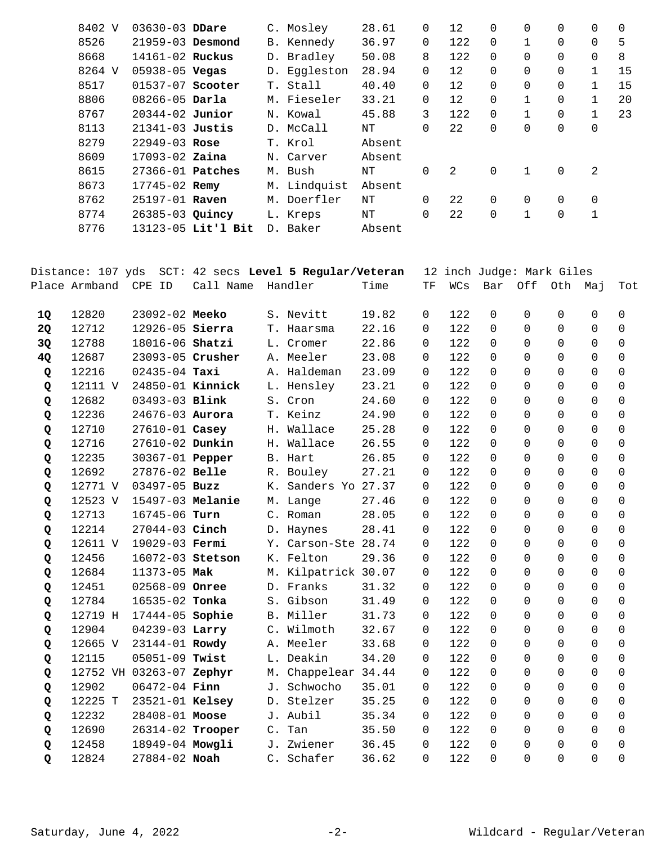| 8402 V | $03630 - 03$ DDare   |                    | C. Mosley    | 28.61  | $\mathbf 0$ | $12 \overline{ }$ | 0        | 0        | $\Omega$    | $\Omega$ | $\Omega$ |
|--------|----------------------|--------------------|--------------|--------|-------------|-------------------|----------|----------|-------------|----------|----------|
| 8526   | $21959 - 03$ Desmond |                    | B. Kennedy   | 36.97  | 0           | 122               | $\Omega$ |          | $\Omega$    | $\Omega$ | 5        |
| 8668   | 14161-02 Ruckus      |                    | D. Bradley   | 50.08  | 8           | 122               | $\Omega$ | $\Omega$ | $\Omega$    | $\Omega$ | 8        |
| 8264 V | $05938 - 05$ Vegas   |                    | D. Eqqleston | 28.94  | 0           | 12                | $\Omega$ | 0        | $\Omega$    |          | 15       |
| 8517   | $01537-07$ Scooter   |                    | T. Stall     | 40.40  | $\Omega$    | $12 \overline{ }$ | $\Omega$ | 0        | $\Omega$    |          | 15       |
| 8806   | $08266 - 05$ Darla   |                    | M. Fieseler  | 33.21  | 0           | $12 \overline{ }$ | $\Omega$ |          | $\Omega$    |          | 20       |
| 8767   | $20344 - 02$ Junior  |                    | N. Kowal     | 45.88  | 3           | 122               | $\Omega$ |          | $\Omega$    |          | 23       |
| 8113   | $21341-03$ Justis    |                    | D. McCall    | ΝT     | 0           | 22                | 0        | 0        | $\mathbf 0$ | 0        |          |
| 8279   | $22949 - 03$ Rose    |                    | T. Krol      | Absent |             |                   |          |          |             |          |          |
| 8609   | $17093 - 02$ Zaina   |                    | N. Carver    | Absent |             |                   |          |          |             |          |          |
| 8615   | $27366 - 01$ Patches |                    | M. Bush      | NΤ     | $\Omega$    | 2                 | $\Omega$ |          | $\Omega$    | 2        |          |
| 8673   | $17745 - 02$ Remy    |                    | M. Lindquist | Absent |             |                   |          |          |             |          |          |
| 8762   | 25197-01 Raven       |                    | M. Doerfler  | ΝT     | $\Omega$    | 22                | $\Omega$ | $\Omega$ | $\Omega$    | $\Omega$ |          |
| 8774   | 26385-03 Quincy      |                    | L. Kreps     | NΤ     | $\Omega$    | 22                | 0        |          | 0           | 1        |          |
| 8776   |                      | 13123-05 Lit'l Bit | D. Baker     | Absent |             |                   |          |          |             |          |          |
|        |                      |                    |              |        |             |                   |          |          |             |          |          |

|    | Distance: 107 yds |                          |           |                | SCT: 42 secs Level 5 Regular/Veteran |       |          |     |             | 12 inch Judge: Mark Giles |          |          |             |
|----|-------------------|--------------------------|-----------|----------------|--------------------------------------|-------|----------|-----|-------------|---------------------------|----------|----------|-------------|
|    | Place Armband     | CPE ID                   | Call Name |                | Handler                              | Time  | TF       | WCs | Bar         | Off                       | Oth      | Maj      | Tot         |
| 1Q | 12820             | 23092-02 Meeko           |           |                | S. Nevitt                            | 19.82 | $\Omega$ | 122 | $\Omega$    | 0                         | $\Omega$ | $\Omega$ | $\mathbf 0$ |
| 2Q | 12712             | 12926-05 Sierra          |           |                | T. Haarsma                           | 22.16 | 0        | 122 | $\Omega$    | $\Omega$                  | $\Omega$ | $\Omega$ | $\mathbf 0$ |
| 3Q | 12788             | 18016-06 Shatzi          |           |                | L. Cromer                            | 22.86 | 0        | 122 | $\mathbf 0$ | $\Omega$                  | $\Omega$ | $\Omega$ | $\Omega$    |
| 4Q | 12687             | 23093-05 Crusher         |           |                | A. Meeler                            | 23.08 | 0        | 122 | $\Omega$    | $\Omega$                  | $\Omega$ | $\Omega$ | $\Omega$    |
| Q  | 12216             | $02435 - 04$ Taxi        |           |                | A. Haldeman                          | 23.09 | 0        | 122 | $\Omega$    | $\Omega$                  | $\Omega$ | $\Omega$ | $\Omega$    |
| Q  | 12111 V           | 24850-01 Kinnick         |           |                | L. Hensley                           | 23.21 | 0        | 122 | $\Omega$    | $\Omega$                  | $\Omega$ | $\Omega$ | $\mathbf 0$ |
| Q  | 12682             | 03493-03 Blink           |           |                | S. Cron                              | 24.60 | 0        | 122 | $\Omega$    | 0                         | $\Omega$ | $\Omega$ | $\mathbf 0$ |
| Q  | 12236             | 24676-03 Aurora          |           |                | T. Keinz                             | 24.90 | 0        | 122 | $\Omega$    | $\Omega$                  | $\Omega$ | $\Omega$ | $\Omega$    |
| Q  | 12710             | 27610-01 Casey           |           |                | H. Wallace                           | 25.28 | $\Omega$ | 122 | $\Omega$    | $\Omega$                  | $\Omega$ | $\Omega$ | $\Omega$    |
| Q  | 12716             | 27610-02 Dunkin          |           |                | H. Wallace                           | 26.55 | $\Omega$ | 122 | $\Omega$    | $\Omega$                  | $\Omega$ | $\Omega$ | $\Omega$    |
| Q  | 12235             | 30367-01 Pepper          |           |                | B. Hart                              | 26.85 | $\Omega$ | 122 | $\Omega$    | $\Omega$                  | $\Omega$ | $\Omega$ | $\mathbf 0$ |
| Q  | 12692             | 27876-02 Belle           |           |                | R. Bouley                            | 27.21 | 0        | 122 | $\Omega$    | $\Omega$                  | $\Omega$ | $\Omega$ | $\mathbf 0$ |
| Q  | 12771 V           | $03497 - 05$ Buzz        |           |                | K. Sanders Yo 27.37                  |       | $\Omega$ | 122 | $\Omega$    | $\Omega$                  | $\Omega$ | $\Omega$ | $\mathbf 0$ |
| Q  | 12523 V           | 15497-03 Melanie         |           |                | M. Lange                             | 27.46 | 0        | 122 | $\Omega$    | $\Omega$                  | $\Omega$ | $\Omega$ | $\Omega$    |
| Q  | 12713             | 16745-06 Turn            |           |                | C. Roman                             | 28.05 | 0        | 122 | $\Omega$    | $\Omega$                  | $\Omega$ | $\Omega$ | 0           |
| Q  | 12214             | 27044-03 Cinch           |           |                | D. Haynes                            | 28.41 | $\Omega$ | 122 | $\Omega$    | $\Omega$                  | $\Omega$ | $\Omega$ | $\Omega$    |
| Q  | 12611 V           | 19029-03 Fermi           |           |                | Y. Carson-Ste 28.74                  |       | 0        | 122 | $\Omega$    | $\Omega$                  | $\Omega$ | $\Omega$ | $\Omega$    |
| Q  | 12456             | 16072-03 Stetson         |           |                | K. Felton                            | 29.36 | 0        | 122 | $\Omega$    | $\Omega$                  | $\Omega$ | $\Omega$ | $\mathbf 0$ |
| Q  | 12684             | 11373-05 Mak             |           |                | M. Kilpatrick 30.07                  |       | 0        | 122 | $\Omega$    | $\Omega$                  | $\Omega$ | $\Omega$ | $\mathbf 0$ |
| Q  | 12451             | 02568-09 Onree           |           |                | D. Franks                            | 31.32 | 0        | 122 | $\Omega$    | 0                         | $\Omega$ | $\Omega$ | $\mathbf 0$ |
| Q  | 12784             | 16535-02 Tonka           |           |                | S. Gibson                            | 31.49 | 0        | 122 | $\Omega$    | $\Omega$                  | $\Omega$ | $\Omega$ | $\mathbf 0$ |
| Q  | 12719 H           | 17444-05 Sophie          |           |                | B. Miller                            | 31.73 | 0        | 122 | $\Omega$    | $\Omega$                  | $\Omega$ | $\Omega$ | $\Omega$    |
| Q  | 12904             | 04239-03 Larry           |           |                | C. Wilmoth                           | 32.67 | $\Omega$ | 122 | $\Omega$    | $\Omega$                  | $\Omega$ | $\Omega$ | $\Omega$    |
| Q  | 12665 V           | 23144-01 Rowdy           |           |                | A. Meeler                            | 33.68 | 0        | 122 | $\Omega$    | $\Omega$                  | $\Omega$ | $\Omega$ | $\Omega$    |
| Q  | 12115             | $05051 - 09$ Twist       |           |                | L. Deakin                            | 34.20 | 0        | 122 | $\Omega$    | $\Omega$                  | $\Omega$ | $\Omega$ | $\Omega$    |
| Q  |                   | 12752 VH 03263-07 Zephyr |           |                | M. Chappelear 34.44                  |       | 0        | 122 | $\Omega$    | $\Omega$                  | $\Omega$ | $\Omega$ | $\mathbf 0$ |
| Q  | 12902             | $06472 - 04$ Finn        |           |                | J. Schwocho                          | 35.01 | 0        | 122 | $\Omega$    | $\Omega$                  | $\Omega$ | $\Omega$ | $\mathbf 0$ |
| Q  | 12225 T           | 23521-01 Kelsey          |           |                | D. Stelzer                           | 35.25 | 0        | 122 | $\Omega$    | $\Omega$                  | $\Omega$ | $\Omega$ | $\Omega$    |
| Q  | 12232             | 28408-01 Moose           |           |                | J. Aubil                             | 35.34 | $\Omega$ | 122 | $\Omega$    | $\Omega$                  | $\Omega$ | $\Omega$ | $\Omega$    |
| Q  | 12690             | 26314-02 Trooper         |           | $\mathsf{C}$ . | Tan                                  | 35.50 | $\Omega$ | 122 | $\Omega$    | $\Omega$                  | $\Omega$ | $\Omega$ | $\Omega$    |
| Q  | 12458             | 18949-04 Mowgli          |           |                | J. Zwiener                           | 36.45 | $\Omega$ | 122 | $\Omega$    | $\Omega$                  | $\Omega$ | $\Omega$ | $\Omega$    |
| Q  | 12824             | 27884-02 Noah            |           |                | C. Schafer                           | 36.62 | $\Omega$ | 122 | $\Omega$    | $\Omega$                  | $\Omega$ | $\Omega$ | $\mathbf 0$ |
|    |                   |                          |           |                |                                      |       |          |     |             |                           |          |          |             |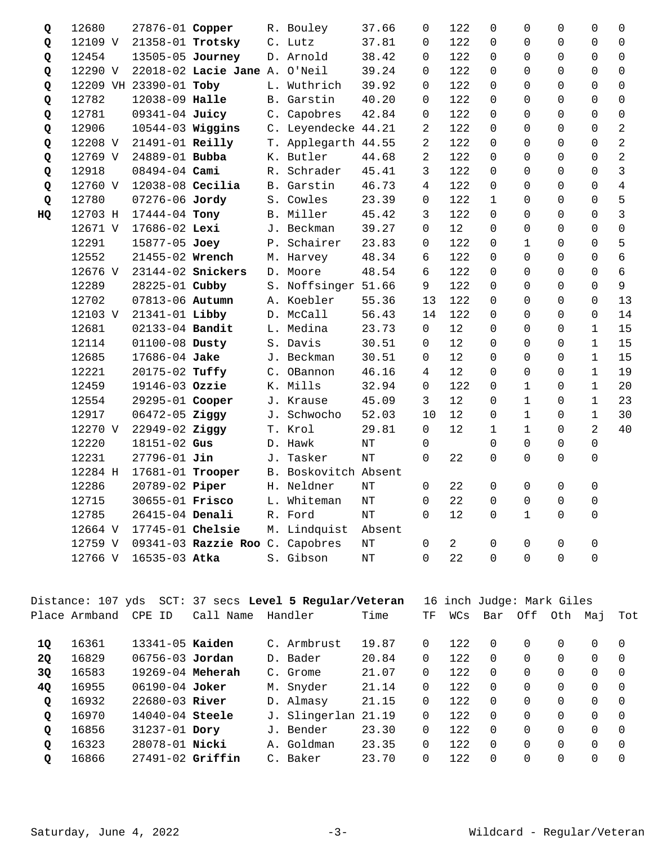| Q  | 12680   | 27876-01 Copper        |                                 | R. Bouley            | 37.66     | $\Omega$       | 122            | $\Omega$     | 0            | $\Omega$ | 0              | $\mathbf 0$     |
|----|---------|------------------------|---------------------------------|----------------------|-----------|----------------|----------------|--------------|--------------|----------|----------------|-----------------|
| Q  | 12109 V | 21358-01 Trotsky       |                                 | C. Lutz              | 37.81     | $\Omega$       | 122            | $\Omega$     | $\Omega$     | $\Omega$ | $\Omega$       | $\Omega$        |
| Q  | 12454   | 13505-05 Journey       |                                 | D. Arnold            | 38.42     | 0              | 122            | $\Omega$     | $\Omega$     | 0        | 0              | 0               |
| Q  | 12290 V |                        | 22018-02 Lacie Jane A. O'Neil   |                      | 39.24     | 0              | 122            | $\Omega$     | $\Omega$     | 0        | 0              | 0               |
| Q  |         | 12209 VH 23390-01 Toby |                                 | L. Wuthrich          | 39.92     | 0              | 122            | $\Omega$     | $\Omega$     | $\Omega$ | $\mathbf 0$    | 0               |
| Q  | 12782   | 12038-09 Halle         |                                 | B. Garstin           | 40.20     | $\Omega$       | 122            | $\Omega$     | $\Omega$     | $\Omega$ | $\overline{0}$ | $\mathbf 0$     |
| Q  | 12781   | 09341-04 Juicy         |                                 | C. Capobres          | 42.84     | 0              | 122            | $\Omega$     | $\Omega$     | $\Omega$ | $\Omega$       | 0               |
| Q  | 12906   | 10544-03 Wiggins       |                                 | C. Leyendecke 44.21  |           | $\overline{2}$ | 122            | $\Omega$     | $\Omega$     | $\Omega$ | $\Omega$       | $\overline{2}$  |
| Q  | 12208 V | 21491-01 Reilly        |                                 | T. Applegarth 44.55  |           | $\overline{a}$ | 122            | $\Omega$     | $\Omega$     | $\Omega$ | $\Omega$       | $\overline{2}$  |
| Q  | 12769 V | 24889-01 Bubba         |                                 | K. Butler            | 44.68     | $\overline{2}$ | 122            | $\Omega$     | $\Omega$     | $\Omega$ | $\Omega$       | $\overline{2}$  |
| Q  | 12918   | 08494-04 Cami          |                                 | R. Schrader          | 45.41     | 3              | 122            | $\Omega$     | $\Omega$     | $\Omega$ | $\Omega$       | $\overline{3}$  |
| Q  | 12760 V | $12038-08$ Cecilia     |                                 | B. Garstin           | 46.73     | 4              | 122            | $\Omega$     | $\Omega$     | $\Omega$ | 0              | $\overline{4}$  |
| Q  | 12780   | 07276-06 Jordy         |                                 | S. Cowles            | 23.39     | 0              | 122            | $\mathbf{1}$ | $\Omega$     | $\Omega$ | 0              | 5               |
| HQ | 12703 H | 17444-04 Tony          |                                 | B. Miller            | 45.42     | 3              | 122            | $\Omega$     | $\Omega$     | $\Omega$ | $\mathbf 0$    | $\overline{3}$  |
|    | 12671 V | 17686-02 Lexi          |                                 | J. Beckman           | 39.27     | $\mathbf 0$    | 12             | $\Omega$     | $\Omega$     | $\Omega$ | $\Omega$       | $\mathbf 0$     |
|    | 12291   | 15877-05 Joey          |                                 | P. Schairer          | 23.83     | 0              | 122            | $\Omega$     | $\mathbf{1}$ | $\Omega$ | $\Omega$       | 5               |
|    | 12552   | 21455-02 Wrench        |                                 | M. Harvey            | 48.34     | 6              | 122            | $\Omega$     | $\Omega$     | $\Omega$ | $\Omega$       | 6               |
|    | 12676 V |                        | 23144-02 Snickers               | D. Moore             | 48.54     | б              | 122            | $\Omega$     | $\Omega$     | $\Omega$ | $\mathbf 0$    | $6\overline{6}$ |
|    | 12289   | 28225-01 Cubby         |                                 | S. Noffsinger 51.66  |           | 9              | 122            | $\Omega$     | $\Omega$     | $\Omega$ | $\Omega$       | 9               |
|    | 12702   | 07813-06 Autumn        |                                 | A. Koebler           | 55.36     | 13             | 122            | $\Omega$     | $\Omega$     | $\Omega$ | $\Omega$       | 13              |
|    | 12103 V | 21341-01 Libby         |                                 | D. McCall            | 56.43     | 14             | 122            | $\Omega$     | $\Omega$     | $\Omega$ | $\Omega$       | 14              |
|    | 12681   | 02133-04 Bandit        |                                 | L. Medina            | 23.73     | $\Omega$       | 12             | $\Omega$     | $\Omega$     | $\Omega$ | $\mathbf{1}$   | 15              |
|    | 12114   | 01100-08 Dusty         |                                 | S. Davis             | 30.51     | 0              | 12             | $\Omega$     | $\Omega$     | $\Omega$ | $\mathbf 1$    | 15              |
|    | 12685   | 17686-04 Jake          |                                 | J. Beckman           | 30.51     | 0              | 12             | $\Omega$     | $\Omega$     | $\Omega$ | $\mathbf 1$    | 15              |
|    | 12221   | 20175-02 Tuffy         |                                 | C. OBannon           | 46.16     | 4              | 12             | $\Omega$     | $\Omega$     | $\Omega$ | $\mathbf 1$    | 19              |
|    | 12459   | 19146-03 Ozzie         |                                 | K. Mills             | 32.94     | $\Omega$       | 122            | $\Omega$     | $\mathbf{1}$ | $\Omega$ | $\mathbf 1$    | 20              |
|    | 12554   | 29295-01 Cooper        |                                 | J. Krause            | 45.09     | 3              | 12             | $\Omega$     | $\mathbf{1}$ | $\Omega$ | $\mathbf{1}$   | 23              |
|    | 12917   | $06472 - 05$ Ziggy     |                                 | J. Schwocho          | 52.03     | 10             | 12             | $\Omega$     | $\mathbf{1}$ | $\Omega$ | $\mathbf{1}$   | 30              |
|    | 12270 V | 22949-02 Ziggy         |                                 | T. Krol              | 29.81     | $\Omega$       | 12             | $\mathbf{1}$ | $\mathbf{1}$ | $\Omega$ | $\overline{a}$ | 40              |
|    | 12220   | 18151-02 Gus           |                                 | D. Hawk              | NT        | 0              |                | 0            | $\Omega$     | 0        | $\mathsf{O}$   |                 |
|    | 12231   | $27796 - 01$ Jin       |                                 | J. Tasker            | <b>NT</b> | $\Omega$       | 22             | $\Omega$     | $\Omega$     | $\Omega$ | $\Omega$       |                 |
|    | 12284 H | 17681-01 Trooper       |                                 | B. Boskovitch Absent |           |                |                |              |              |          |                |                 |
|    | 12286   | 20789-02 Piper         |                                 | H. Neldner           | NΤ        | $\Omega$       | 22             | $\Omega$     | $\Omega$     | $\Omega$ | $\Omega$       |                 |
|    | 12715   | 30655-01 <b>Frisco</b> |                                 | L. Whiteman          | $\rm{NT}$ | 0              | 22             | $\Omega$     | $\Omega$     | $\Omega$ | 0              |                 |
|    | 12785   | 26415-04 Denali        |                                 | R. Ford              | NT        | $\Omega$       | 12             | $\Omega$     | $\mathbf{1}$ | $\Omega$ | $\Omega$       |                 |
|    | 12664 V | 17745-01 Chelsie       |                                 | M. Lindquist         | Absent    |                |                |              |              |          |                |                 |
|    | 12759 V |                        | 09341-03 Razzie Roo C. Capobres |                      | NT        | $\mathbf 0$    | $\overline{2}$ | 0            | 0            | 0        | $\mathsf 0$    |                 |
|    | 12766 V | 16535-03 Atka          |                                 | S. Gibson            | $\rm{NT}$ | $\Omega$       | 22             | $\Omega$     | $\Omega$     | 0        | $\Omega$       |                 |
|    |         |                        |                                 |                      |           |                |                |              |              |          |                |                 |

|              | Distance: 107 yds |                      |           | SCT: 37 secs Level 5 Regular/Veteran |       |          |       | 16 inch Judge: Mark Giles |          |          |          |          |
|--------------|-------------------|----------------------|-----------|--------------------------------------|-------|----------|-------|---------------------------|----------|----------|----------|----------|
|              | Place Armband     | CPE ID               | Call Name | Handler                              | Time  | TF       | WCs   | Bar                       | Off      | Oth      | Мај      | Tot      |
|              |                   |                      |           |                                      |       |          |       |                           |          |          |          |          |
| 10           | 16361             | 13341-05 Kaiden      |           | C. Armbrust                          | 19.87 | $\Omega$ | 12.2. | $\Omega$                  | 0        | $\Omega$ | $\Omega$ | $\Omega$ |
| <b>20</b>    | 16829             | $06756 - 03$ Jordan  |           | D. Bader                             | 20.84 | 0        | 122   | $\Omega$                  | $\Omega$ | 0        | $\Omega$ | $\Omega$ |
| 3Q           | 16583             | 19269-04 Meherah     |           | C. Grome                             | 21.07 | 0        | 122   | $\Omega$                  | $\Omega$ | 0        | 0        | $\Omega$ |
| <b>40</b>    | 16955             | $06190 - 04$ Joker   |           | M. Snyder                            | 21.14 | 0        | 122   | $\Omega$                  | 0        | $\Omega$ | 0        | $\Omega$ |
| $\mathbf{Q}$ | 16932             | $22680 - 03$ River   |           | D. Almasy                            | 21.15 | 0        | 122   | $\Omega$                  | $\Omega$ | $\Omega$ | $\Omega$ | $\Omega$ |
| $\mathbf Q$  | 16970             | $14040 - 04$ Steele  |           | J. Slingerlan                        | 21.19 | 0        | 12.2. | $\Omega$                  | $\Omega$ | 0        | $\Omega$ | $\Omega$ |
| $\mathbf{Q}$ | 16856             | 31237-01 Dory        |           | J. Bender                            | 23.30 | $\Omega$ | 122.  | $\cap$                    | $\Omega$ | $\Omega$ | $\Omega$ | $\Omega$ |
| Q            | 16323             | 28078-01 Nicki       |           | A. Goldman                           | 23.35 | $\Omega$ | 122   | $\Omega$                  | $\Omega$ | $\Omega$ | $\Omega$ | $\Omega$ |
| $\mathbf Q$  | 16866             | $27491 - 02$ Griffin |           | C. Baker                             | 23.70 | 0        | 122   | $\Omega$                  | 0        | 0        | 0        | $\Omega$ |
|              |                   |                      |           |                                      |       |          |       |                           |          |          |          |          |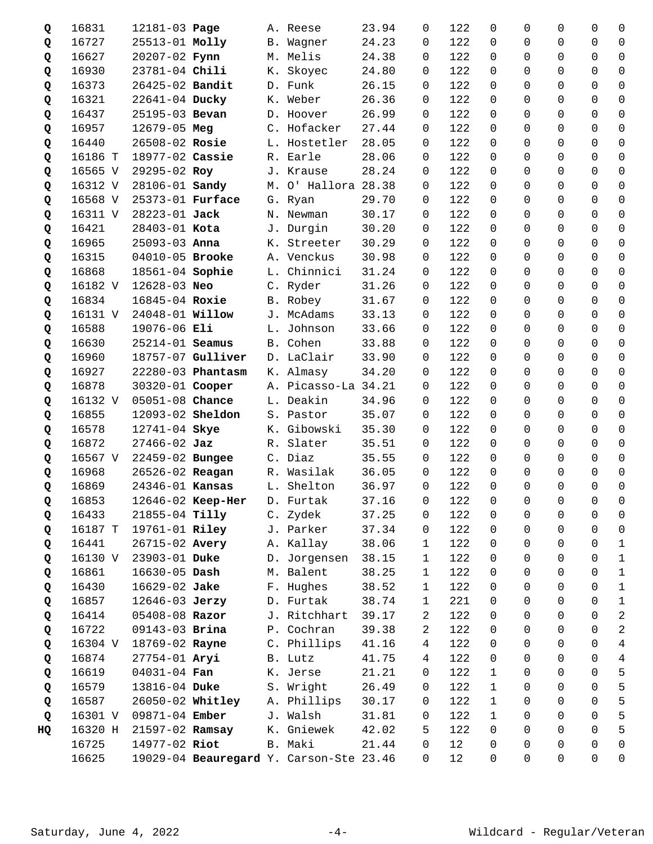| Q  | 16831   | 12181-03 Page           |                             | A. Reese                                | 23.94 | 0              | 122   | 0            | 0              | 0                   | 0              | 0                   |
|----|---------|-------------------------|-----------------------------|-----------------------------------------|-------|----------------|-------|--------------|----------------|---------------------|----------------|---------------------|
| Q  | 16727   | 25513-01 Molly          |                             | B. Wagner                               | 24.23 | 0              | 122   | $\Omega$     | 0              | 0                   | 0              | $\mathbf 0$         |
| Q  | 16627   | $20207 - 02$ Fynn       |                             | M. Melis                                | 24.38 | 0              | 122   | $\Omega$     | 0              | 0                   | 0              | $\mathbf 0$         |
| Q  | 16930   | 23781-04 Chili          |                             | K. Skoyec                               | 24.80 | 0              | 122   | $\Omega$     | $\Omega$       | 0                   | 0              | $\overline{0}$      |
| Q  | 16373   | 26425-02 Bandit         |                             | D. Funk                                 | 26.15 | 0              | 122   | 0            | 0              | 0                   | 0              | $\mathbf 0$         |
| Q  | 16321   | 22641-04 Ducky          |                             | K. Weber                                | 26.36 | 0              | 122   | $\Omega$     | $\Omega$       | $\Omega$            | 0              | 0                   |
| Q  | 16437   | 25195-03 Bevan          |                             | D. Hoover                               | 26.99 | 0              | 122   | $\Omega$     | 0              | 0                   | 0              | $\mathbf 0$         |
| Q  | 16957   | 12679-05 Meg            |                             | C. Hofacker                             | 27.44 | 0              | 122   | $\Omega$     | $\Omega$       | 0                   | 0              | $\overline{0}$      |
| Q  | 16440   | 26508-02 Rosie          |                             | L. Hostetler                            | 28.05 | 0              | 122   | $\Omega$     | 0              | $\mathbf 0$         | 0              | $\mathbf 0$         |
| Q  | 16186 T | 18977-02 Cassie         |                             | R. Earle                                | 28.06 | 0              | 122   | $\Omega$     | 0              | $\Omega$            | 0              | $\mathbf 0$         |
| Q  | 16565 V | 29295-02 Roy            |                             | J. Krause                               | 28.24 | 0              | 122   | $\Omega$     | 0              | $\Omega$            | 0              | $\mathbf 0$         |
| Q  | 16312 V | 28106-01 Sandy          |                             | M. O' Hallora 28.38                     |       | 0              | 122   | $\Omega$     | $\Omega$       | 0                   | 0              | $\overline{0}$      |
| Q  | 16568 V | 25373-01 Furface        |                             | G. Ryan                                 | 29.70 | 0              | 122   | 0            | 0              | 0                   | 0              | $\mathbf 0$         |
| Q  | 16311 V | 28223-01 Jack           |                             | N. Newman                               | 30.17 | 0              | 122   | $\Omega$     | 0              | 0                   | 0              | 0                   |
| Q  | 16421   | 28403-01 Kota           |                             | J. Durgin                               | 30.20 | 0              | 122   | $\Omega$     | 0              | 0                   | 0              | 0                   |
| Q  | 16965   | $25093 - 03$ Anna       |                             | K. Streeter                             | 30.29 | 0              | 122   | $\Omega$     | 0              | 0                   | 0              | $\mathbf 0$         |
| Q  | 16315   | 04010-05 Brooke         |                             | A. Venckus                              | 30.98 | 0              | 122   | 0            | 0              | $\mathbf 0$         | 0              | $\mathbf 0$         |
| Q  | 16868   | 18561-04 Sophie         |                             | L. Chinnici                             | 31.24 | 0              | 122   | $\Omega$     | 0              | 0                   | 0              | $\mathbf 0$         |
| Q  | 16182 V | 12628-03 Neo            |                             | C. Ryder                                | 31.26 | 0              | 122   | $\Omega$     | 0              | $\Omega$            | 0              | $\Omega$            |
| Q  | 16834   | 16845-04 Roxie          |                             | B. Robey                                | 31.67 | 0              | 122   | $\Omega$     | 0              | 0                   | 0              | $\mathbf 0$         |
| Q  | 16131 V | 24048-01 <b>Willow</b>  |                             | J. McAdams                              | 33.13 | $\Omega$       | 122   | $\Omega$     | 0              | 0                   | 0              | $\mathbf 0$         |
| Q  | 16588   | 19076-06 Eli            |                             | L. Johnson                              | 33.66 | 0              | 122   | $\Omega$     | 0              | 0                   | 0              | $\mathbf 0$         |
| Q  | 16630   | 25214-01 Seamus         |                             | B. Cohen                                | 33.88 | 0              | 122   | $\Omega$     | 0              | 0                   | 0              | 0                   |
| Q  | 16960   |                         | 18757-07 Gulliver           | D. LaClair                              | 33.90 | 0              | 122   | $\Omega$     | 0              | 0                   | 0              | $\mathbf 0$         |
| Q  | 16927   |                         | 22280-03 Phantasm           | K. Almasy                               | 34.20 | $\Omega$       | 122   | $\Omega$     | $\Omega$       | $\mathbf 0$         | 0              | $\overline{0}$      |
| Q  | 16878   | 30320-01 Cooper         |                             | A. Picasso-La 34.21                     |       | 0              | 122   | $\Omega$     | $\Omega$       | $\mathbf 0$         | 0              | $\mathbf 0$         |
| Q  | 16132 V | 05051-08 Chance         |                             | L. Deakin                               | 34.96 | 0              | 122   | $\Omega$     | 0              | $\Omega$            | 0              | 0                   |
| Q  | 16855   | 12093-02 <b>Sheldon</b> |                             | S. Pastor                               | 35.07 | 0              | 122   | $\Omega$     | 0              | 0                   | 0              | $\mathbf 0$         |
| Q  | 16578   | 12741-04 Skye           |                             | K. Gibowski                             | 35.30 | $\Omega$       | 122   | $\Omega$     | $\Omega$       | 0                   | 0              | $\mathbf 0$         |
| Q  | 16872   | $27466 - 02$ Jaz        |                             | R. Slater                               | 35.51 | $\Omega$       | 122   | 0            | 0              | 0                   | 0              | $\mathbf 0$         |
| Q  | 16567 V | 22459-02 Bungee         |                             | C. Diaz                                 | 35.55 | 0              | 122   | $\Omega$     | $\Omega$       | 0                   | 0              | 0                   |
| Q  | 16968   | 26526-02 Reagan         |                             | R. Wasilak                              | 36.05 | 0              | 122   | $\Omega$     | 0              | 0                   | 0              | $\mathbf 0$         |
| Q  | 16869   | 24346-01 Kansas         |                             | L. Shelton                              | 36.97 | $\Omega$       | 122   | $\Omega$     | $\Omega$       | $\Omega$            | $\Omega$       | $\mathbf 0$         |
| Q  | 16853   |                         | 12646-02 Keep-Her D. Furtak |                                         | 37.16 | $\overline{0}$ | 122 0 |              | $\overline{0}$ | $\overline{0}$      | $\overline{0}$ | $\mathsf{O}$        |
| Q  | 16433   | 21855-04 Tilly          |                             | C. Zydek                                | 37.25 | 0              | 122   | 0            | 0              | 0                   | 0              | 0                   |
| Q  | 16187 T | 19761-01 Riley          |                             | J. Parker                               | 37.34 | 0              | 122   | 0            | 0              | 0                   | 0              | 0                   |
| Q  | 16441   | 26715-02 Avery          |                             | A. Kallay                               | 38.06 | 1              | 122   | 0            | 0              | 0                   | 0              | $\mathbf{1}$        |
| Q  | 16130 V | 23903-01 Duke           |                             | D. Jorgensen                            | 38.15 | 1              | 122   | 0            | 0              | 0                   | 0              | $\mathbf{1}$        |
| Q  | 16861   | $16630 - 05$ Dash       |                             | M. Balent                               | 38.25 | $\mathbf{1}$   | 122   | 0            | 0              | 0                   | 0              | $\mathbf{1}$        |
| Q  | 16430   | 16629-02 Jake           |                             | F. Hughes                               | 38.52 | 1              | 122   | 0            | 0              | 0                   | 0              | $\mathbf 1$         |
| Q  | 16857   | 12646-03 Jerzy          |                             | D. Furtak                               | 38.74 | 1              | 221   | 0            | 0              | 0                   | 0              | $\mathbf{1}$        |
| Q  | 16414   | 05408-08 Razor          |                             | J. Ritchhart                            | 39.17 | 2              | 122   | 0            | 0              | 0                   | 0              | $\overline{a}$      |
| Q  | 16722   | 09143-03 Brina          |                             | P. Cochran                              | 39.38 | 2              | 122   | 0            | 0              | 0                   | 0              | $\overline{a}$      |
| Q  | 16304 V | 18769-02 Rayne          |                             | C. Phillips                             | 41.16 | 4              | 122   | 0            | 0              | 0                   | 0              | $\overline{4}$      |
| Q  | 16874   | 27754-01 Aryi           |                             | B. Lutz                                 | 41.75 | 4              | 122   | 0            | 0              | 0                   | 0              | $\overline{4}$      |
| Q  | 16619   | 04031-04 Fan            |                             | K. Jerse                                | 21.21 | 0              | 122   | $\mathbf{1}$ | 0              | 0                   | 0              | 5                   |
| Q  | 16579   | 13816-04 Duke           |                             | S. Wright                               | 26.49 | 0              | 122   | $\mathbf{1}$ | 0              | 0                   | 0              | 5                   |
|    | 16587   | 26050-02 Whitley        |                             | A. Phillips                             | 30.17 | 0              | 122   | $\mathbf{1}$ | 0              | 0                   | 0              | 5                   |
| Q  | 16301 V | 09871-04 Ember          |                             | J. Walsh                                | 31.81 | 0              | 122   | $\mathbf{1}$ | 0              | 0                   | 0              | 5                   |
| Q  | 16320 H | 21597-02 Ramsay         |                             | K. Gniewek                              | 42.02 | 5              | 122   | 0            | 0              | 0                   | 0              | 5                   |
| HQ | 16725   | 14977-02 Riot           |                             | B. Maki                                 | 21.44 | 0              | 12    | 0            | 0              | 0                   | 0              | $\mathsf{O}\xspace$ |
|    | 16625   |                         |                             | 19029-04 Beauregard Y. Carson-Ste 23.46 |       | 0              | 12    | 0            | $\mathsf{O}$   | $\mathsf{O}\xspace$ | 0              | 0                   |
|    |         |                         |                             |                                         |       |                |       |              |                |                     |                |                     |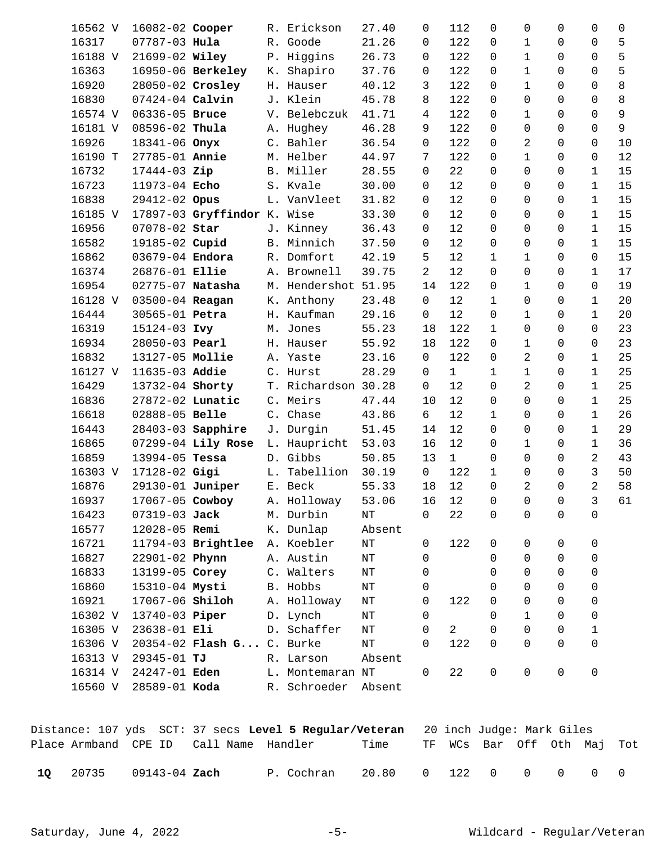| 16562 V | 16082-02 Cooper     |                             |    | R. Erickson         | 27.40  | $\Omega$       | 112            | $\Omega$     | 0              | $\Omega$    | 0              | 0  |
|---------|---------------------|-----------------------------|----|---------------------|--------|----------------|----------------|--------------|----------------|-------------|----------------|----|
| 16317   | 07787-03 Hula       |                             |    | R. Goode            | 21.26  | 0              | 122            | $\Omega$     | $\mathbf{1}$   | $\Omega$    | 0              | 5  |
| 16188 V | 21699-02 Wiley      |                             |    | P. Higgins          | 26.73  | 0              | 122            | 0            | $\mathbf{1}$   | $\Omega$    | $\mathbf 0$    | 5  |
| 16363   |                     | 16950-06 Berkeley           |    | K. Shapiro          | 37.76  | 0              | 122            | $\Omega$     | $\mathbf{1}$   | $\Omega$    | $\Omega$       | 5  |
| 16920   | 28050-02 Crosley    |                             | Η. | Hauser              | 40.12  | 3              | 122            | $\Omega$     | $\mathbf{1}$   | $\Omega$    | $\Omega$       | 8  |
| 16830   | $07424 - 04$ Calvin |                             |    | J. Klein            | 45.78  | 8              | 122            | $\Omega$     | $\Omega$       | $\Omega$    | $\Omega$       | 8  |
| 16574 V | 06336-05 Bruce      |                             |    | V. Belebczuk        | 41.71  | $\overline{4}$ | 122            | $\Omega$     | $\mathbf{1}$   | $\Omega$    | $\Omega$       | 9  |
| 16181 V | 08596-02 Thula      |                             |    | A. Hughey           | 46.28  | 9              | 122            | $\Omega$     | $\Omega$       | $\Omega$    | $\Omega$       | 9  |
| 16926   | 18341-06 Onyx       |                             |    | C. Bahler           | 36.54  | $\mathbf 0$    | 122            | $\Omega$     | 2              | $\Omega$    | $\Omega$       | 10 |
| 16190 T | 27785-01 Annie      |                             |    | M. Helber           | 44.97  | 7              | 122            | $\Omega$     | $\mathbf{1}$   | $\Omega$    | $\Omega$       | 12 |
| 16732   | $17444-03$ Zip      |                             |    | B. Miller           | 28.55  | $\mathbf 0$    | 22             | $\Omega$     | $\Omega$       | $\Omega$    | $\mathbf{1}$   | 15 |
| 16723   | 11973-04 Echo       |                             |    | S. Kvale            | 30.00  | $\mathbf 0$    | 12             | $\Omega$     | $\Omega$       | $\Omega$    | $\mathbf 1$    | 15 |
| 16838   | 29412-02 Opus       |                             |    | L. VanVleet         | 31.82  | 0              | 12             | $\Omega$     | 0              | $\Omega$    | $\mathbf 1$    | 15 |
| 16185 V |                     | 17897-03 Gryffindor K. Wise |    |                     | 33.30  | 0              | 12             | $\Omega$     | $\Omega$       | $\Omega$    | 1              | 15 |
| 16956   | 07078-02 Star       |                             |    | J. Kinney           | 36.43  | 0              | 12             | $\Omega$     | $\Omega$       | $\Omega$    | $\mathbf{1}$   | 15 |
| 16582   | 19185-02 Cupid      |                             |    | B. Minnich          | 37.50  | 0              | 12             | 0            | $\Omega$       | $\Omega$    | $\mathbf{1}$   | 15 |
| 16862   | 03679-04 Endora     |                             |    | R. Domfort          | 42.19  | 5.             | 12             | $\mathbf{1}$ | $\mathbf{1}$   | $\Omega$    | $\Omega$       | 15 |
| 16374   | 26876-01 Ellie      |                             |    | A. Brownell         | 39.75  | $\overline{2}$ | 12             | $\Omega$     | $\Omega$       | $\Omega$    | $\mathbf{1}$   | 17 |
| 16954   | 02775-07 Natasha    |                             |    | M. Hendershot 51.95 |        | 14             | 122            | $\Omega$     | $\mathbf{1}$   | $\Omega$    | $\Omega$       | 19 |
| 16128 V | 03500-04 Reagan     |                             |    | K. Anthony          | 23.48  | $\mathbf 0$    | 12             | $\mathbf{1}$ | $\Omega$       | $\Omega$    | $\mathbf 1$    | 20 |
| 16444   | 30565-01 Petra      |                             |    | H. Kaufman          | 29.16  | 0              | 12             | $\Omega$     | $\mathbf 1$    | $\Omega$    | $\mathbf 1$    | 20 |
| 16319   | 15124-03 Ivy        |                             |    | M. Jones            | 55.23  | 18             | 122            | $\mathbf{1}$ | $\Omega$       | $\Omega$    | $\Omega$       | 23 |
| 16934   | 28050-03 Pearl      |                             |    | H. Hauser           | 55.92  | 18             | 122            | $\Omega$     | $\mathbf{1}$   | $\Omega$    | $\Omega$       | 23 |
| 16832   | 13127-05 Mollie     |                             |    | A. Yaste            | 23.16  | 0              | 122            | $\Omega$     | $\overline{2}$ | $\Omega$    | $\mathbf{1}$   | 25 |
| 16127 V | 11635-03 Addie      |                             |    | C. Hurst            | 28.29  | 0              | $\mathbf{1}$   | 1            | $\mathbf{1}$   | $\Omega$    | $\mathbf 1$    | 25 |
| 16429   | 13732-04 Shorty     |                             |    | T. Richardson 30.28 |        | 0              | 12             | $\Omega$     | 2              | $\Omega$    | $\mathbf{1}$   | 25 |
| 16836   | 27872-02 Lunatic    |                             |    | C. Meirs            | 47.44  | 10             | 12             | $\Omega$     | $\Omega$       | $\Omega$    | 1              | 25 |
| 16618   | 02888-05 Belle      |                             |    | C. Chase            | 43.86  | 6              | 12             | $\mathbf{1}$ | $\Omega$       | $\Omega$    | $\mathbf{1}$   | 26 |
| 16443   |                     | 28403-03 Sapphire           |    | J. Durgin           | 51.45  | 14             | 12             | $\Omega$     | 0              | $\Omega$    | $\mathbf 1$    | 29 |
| 16865   |                     | 07299-04 Lily Rose          |    | L. Haupricht        | 53.03  | 16             | 12             | 0            | $\mathbf{1}$   | $\Omega$    | 1              | 36 |
| 16859   | 13994-05 Tessa      |                             |    | D. Gibbs            | 50.85  | 13             | $\mathbf{1}$   | $\Omega$     | $\Omega$       | $\Omega$    | 2              | 43 |
| 16303 V | 17128-02 Gigi       |                             |    | L. Tabellion        | 30.19  | $\mathsf{O}$   | 122            | $\mathbf{1}$ | $\Omega$       | $\Omega$    | 3              | 50 |
| 16876   | 29130-01 Juniper    |                             |    | E. Beck             | 55.33  | 18             | 12             | $\Omega$     | $\overline{2}$ | $\Omega$    | $\overline{2}$ | 58 |
| 16937   | 17067-05 Cowboy     |                             |    | A. Holloway         | 53.06  | 16             | 12             | 0            | 0              | 0           | 3              | 61 |
| 16423   | 07319-03 Jack       |                             |    | M. Durbin           | ΝT     | 0              | 22             | 0            | 0              | $\mathbf 0$ | $\Omega$       |    |
| 16577   | 12028-05 Remi       |                             |    | K. Dunlap           | Absent |                |                |              |                |             |                |    |
| 16721   |                     | 11794-03 Brightlee          |    | A. Koebler          | NT     | 0              | 122            | 0            | 0              | $\mathbf 0$ | 0              |    |
| 16827   | 22901-02 Phynn      |                             |    | A. Austin           | ΝT     | $\Omega$       |                | $\Omega$     | 0              | $\Omega$    | 0              |    |
| 16833   | 13199-05 Corey      |                             |    | C. Walters          | ΝT     | 0              |                | 0            | $\Omega$       | $\Omega$    | 0              |    |
| 16860   | 15310-04 Mysti      |                             |    | B. Hobbs            | NΤ     | 0              |                | 0            | $\Omega$       | $\Omega$    | $\mathbf 0$    |    |
| 16921   | 17067-06 Shiloh     |                             |    | A. Holloway         | NΤ     | 0              | 122            | $\Omega$     | $\Omega$       | $\Omega$    | $\mathbf 0$    |    |
| 16302 V | 13740-03 Piper      |                             |    | D. Lynch            | NT     | 0              |                | $\Omega$     | $\mathbf 1$    | $\Omega$    | 0              |    |
| 16305 V | 23638-01 Eli        |                             |    | D. Schaffer         | ΝT     | 0              | $\overline{a}$ | 0            | $\Omega$       | $\Omega$    | 1              |    |
| 16306 V |                     | 20354-02 Flash G C. Burke   |    |                     | NT     | 0              | 122            | $\Omega$     | $\Omega$       | $\Omega$    | $\Omega$       |    |
| 16313 V | $29345 - 01$ TJ     |                             |    | R. Larson           | Absent |                |                |              |                |             |                |    |
| 16314 V | 24247-01 Eden       |                             |    | L. Montemaran NT    |        | 0              | 22             | 0            | 0              | $\mathbf 0$ | $\mathbf 0$    |    |
| 16560 V | 28589-01 Koda       |                             |    | R. Schroeder Absent |        |                |                |              |                |             |                |    |
|         |                     |                             |    |                     |        |                |                |              |                |             |                |    |

|    |                            |                                        | Distance: 107 yds SCT: 37 secs Level 5 Regular/Veteran 20 inch Judge: Mark Giles |                   |  |  |                            |  |
|----|----------------------------|----------------------------------------|----------------------------------------------------------------------------------|-------------------|--|--|----------------------------|--|
|    |                            | Place Armband CPE ID Call Name Handler |                                                                                  | Time              |  |  | TF WCs Bar Off Oth Maj Tot |  |
| 10 | 20735 09143-04 <b>Zach</b> |                                        | P. Cochran                                                                       | 20.80 0 122 0 0 0 |  |  | $\cap$                     |  |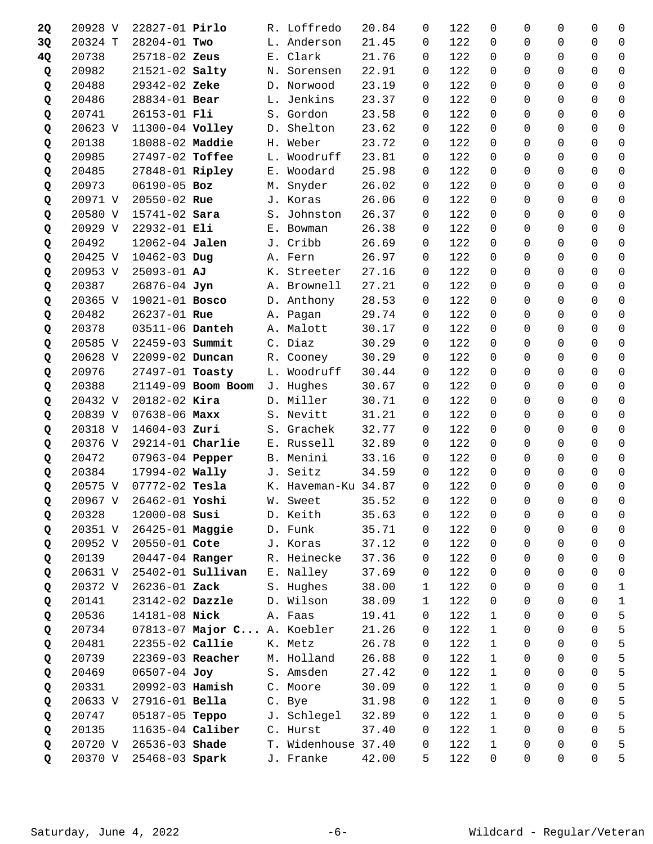| <b>2Q</b> | 20928 V | 22827-01 Pirlo         |                             | R. Loffredo         | 20.84 | 0              | 122     | 0            | 0              | $\Omega$            | 0              | 0              |
|-----------|---------|------------------------|-----------------------------|---------------------|-------|----------------|---------|--------------|----------------|---------------------|----------------|----------------|
| 3Q        | 20324 T | 28204-01 Two           |                             | L. Anderson         | 21.45 | 0              | 122     | $\Omega$     | $\Omega$       | 0                   | 0              | $\mathbf 0$    |
| 4Q        | 20738   | 25718-02 Zeus          |                             | E. Clark            | 21.76 | 0              | 122     | $\Omega$     | 0              | 0                   | 0              | $\mathbf 0$    |
| Q         | 20982   | 21521-02 Salty         |                             | N. Sorensen         | 22.91 | 0              | 122     | $\Omega$     | $\Omega$       | 0                   | 0              | $\overline{0}$ |
| Q         | 20488   | 29342-02 Zeke          |                             | D. Norwood          | 23.19 | $\Omega$       | 122     | 0            | 0              | 0                   | 0              | $\mathbf 0$    |
| Q         | 20486   | 28834-01 Bear          |                             | L. Jenkins          | 23.37 | 0              | 122     | $\Omega$     | $\Omega$       | $\Omega$            | 0              | 0              |
| Q         | 20741   | 26153-01 Fli           |                             | S. Gordon           | 23.58 | 0              | 122     | $\Omega$     | 0              | 0                   | 0              | 0              |
| Q         | 20623 V | 11300-04 Volley        |                             | D. Shelton          | 23.62 | 0              | 122     | $\Omega$     | $\Omega$       | 0                   | 0              | $\overline{0}$ |
| Q         | 20138   | 18088-02 Maddie        |                             | H. Weber            | 23.72 | 0              | 122     | $\Omega$     | 0              | $\mathbf 0$         | 0              | $\mathbf 0$    |
| Q         | 20985   | 27497-02 Toffee        |                             | L. Woodruff         | 23.81 | 0              | 122     | $\Omega$     | 0              | $\Omega$            | 0              | 0              |
| Q         | 20485   | 27848-01 Ripley        |                             | E. Woodard          | 25.98 | 0              | 122     | $\Omega$     | 0              | $\Omega$            | 0              | $\mathbf 0$    |
| Q         | 20973   | 06190-05 Boz           |                             | M. Snyder           | 26.02 | 0              | 122     | $\Omega$     | $\Omega$       | 0                   | 0              | $\overline{0}$ |
| Q         | 20971 V | 20550-02 Rue           |                             | J. Koras            | 26.06 | $\Omega$       | 122     | 0            | 0              | 0                   | 0              | $\overline{0}$ |
| Q         | 20580 V | 15741-02 Sara          |                             | S. Johnston         | 26.37 | 0              | 122     | $\Omega$     | 0              | 0                   | 0              | 0              |
| Q         | 20929 V | 22932-01 Eli           |                             | E. Bowman           | 26.38 | 0              | 122     | $\Omega$     | 0              | 0                   | 0              | 0              |
| Q         | 20492   | 12062-04 Jalen         |                             | J. Cribb            | 26.69 | 0              | 122     | $\Omega$     | $\Omega$       | 0                   | 0              | $\overline{0}$ |
| Q         | 20425 V | $10462 - 03$ Dug       |                             | A. Fern             | 26.97 | 0              | 122     | 0            | 0              | $\mathbf 0$         | 0              | $\mathbf 0$    |
| Q         | 20953 V | $25093 - 01$ AJ        |                             | K. Streeter         | 27.16 | 0              | 122     | $\Omega$     | 0              | 0                   | 0              | $\mathbf 0$    |
| Q         | 20387   | 26876-04 Jyn           |                             | A. Brownell         | 27.21 | $\Omega$       | 122     | $\Omega$     | 0              | $\Omega$            | 0              | $\Omega$       |
| Q         | 20365 V | 19021-01 Bosco         |                             | D. Anthony          | 28.53 | 0              | 122     | $\Omega$     | 0              | 0                   | 0              | $\Omega$       |
| Q         | 20482   | 26237-01 Rue           |                             | A. Pagan            | 29.74 | $\Omega$       | 122     | $\Omega$     | 0              | 0                   | 0              | $\mathbf 0$    |
| Q         | 20378   | 03511-06 Danteh        |                             | A. Malott           | 30.17 | 0              | 122     | $\Omega$     | 0              | 0                   | 0              | $\mathbf 0$    |
| Q         | 20585 V | 22459-03 Summit        |                             | C. Diaz             | 30.29 | 0              | 122     | $\Omega$     | 0              | 0                   | 0              | $\Omega$       |
| Q         | 20628 V | 22099-02 Duncan        |                             | R. Cooney           | 30.29 | 0              | 122     | $\Omega$     | 0              | 0                   | 0              | $\Omega$       |
| Q         | 20976   | 27497-01 Toasty        |                             | L. Woodruff         | 30.44 | $\Omega$       | 122     | $\Omega$     | $\Omega$       | $\mathbf 0$         | 0              | $\overline{0}$ |
| Q         | 20388   |                        | 21149-09 Boom Boom          | J. Hughes           | 30.67 | 0              | 122     | 0            | 0              | $\mathbf 0$         | 0              | $\mathbf 0$    |
| Q         | 20432 V | $20182 - 02$ Kira      |                             | D. Miller           | 30.71 | 0              | 122     | $\Omega$     | 0              | $\Omega$            | 0              | 0              |
| Q         | 20839 V | $07638 - 06$ Maxx      |                             | S. Nevitt           | 31.21 | 0              | 122     | $\Omega$     | 0              | 0                   | 0              | 0              |
| Q         | 20318 V | $14604 - 03$ Zuri      |                             | S. Grachek          | 32.77 | $\Omega$       | 122     | $\Omega$     | $\Omega$       | 0                   | 0              | $\overline{0}$ |
| Q         | 20376 V | $29214-01$ Charlie     |                             | E. Russell          | 32.89 | 0              | 122     | 0            | 0              | 0                   | 0              | $\mathbf 0$    |
| Q         | 20472   | 07963-04 Pepper        |                             | B. Menini           | 33.16 | 0              | 122     | $\Omega$     | $\Omega$       | 0                   | 0              | 0              |
| Q         | 20384   |                        | 17994-02 Wally              | J. Seitz            | 34.59 | 0              | 122     | $\Omega$     | 0              | 0                   | 0              | $\mathbf 0$    |
| Q         | 20575 V | $07772 - 02$ Tesla     |                             | K. Haveman-Ku 34.87 |       | $\Omega$       | 122     | $\Omega$     | $\Omega$       | $\Omega$            | $\Omega$       | $\overline{0}$ |
| Q         |         | 20967 V 26462-01 Yoshi |                             | W. Sweet            | 35.52 | $\overline{0}$ | $122$ 0 |              | $\overline{0}$ | $\overline{0}$      | $\overline{0}$ | $\mathsf{O}$   |
| Q         | 20328   | 12000-08 Susi          |                             | D. Keith            | 35.63 | 0              | 122     | 0            | 0              | 0                   | 0              | 0              |
| Q         | 20351 V | 26425-01 Maggie        |                             | D. Funk             | 35.71 | 0              | 122     | 0            | 0              | $\mathbf 0$         | 0              | 0              |
| Q         | 20952 V | 20550-01 Cote          |                             | J. Koras            | 37.12 | 0              | 122     | 0            | 0              | 0                   | 0              | 0              |
| Q         | 20139   | 20447-04 Ranger        |                             | R. Heinecke         | 37.36 | 0              | 122     | 0            | 0              | $\mathbf 0$         | 0              | 0              |
| Q         | 20631 V |                        | $25402 - 01$ Sullivan       | E. Nalley           | 37.69 | 0              | 122     | 0            | 0              | 0                   | 0              | 0              |
| Q         | 20372 V | 26236-01 Zack          |                             | S. Hughes           | 38.00 | 1              | 122     | 0            | 0              | 0                   | 0              | $\mathbf{1}$   |
| Q         | 20141   | 23142-02 Dazzle        |                             | D. Wilson           | 38.09 | $\mathbf{1}$   | 122     | 0            | 0              | 0                   | 0              | $\mathbf{1}$   |
| Q         | 20536   | 14181-08 Nick          |                             | A. Faas             | 19.41 | $\mathbf 0$    | 122     | $\mathbf{1}$ | 0              | 0                   | 0              | 5              |
| Q         | 20734   |                        | 07813-07 Major C A. Koebler |                     | 21.26 | 0              | 122     | $\mathbf 1$  | 0              | 0                   | 0              | $\mathsf S$    |
| Q         | 20481   | 22355-02 Callie        |                             | K. Metz             | 26.78 | 0              | 122     | $\mathbf 1$  | 0              | 0                   | 0              | 5              |
| Q         | 20739   | 22369-03 Reacher       |                             | M. Holland          | 26.88 | 0              | 122     | $\mathbf{1}$ | 0              | 0                   | 0              | 5              |
| Q         | 20469   | 06507-04 Joy           |                             | S. Amsden           | 27.42 | 0              | 122     | $\mathbf{1}$ | 0              | $\mathbf 0$         | 0              | 5              |
| Q         | 20331   | 20992-03 Hamish        |                             | C. Moore            | 30.09 | 0              | 122     | $\mathbf{1}$ | 0              | 0                   | 0              | 5              |
| Q         | 20633 V | 27916-01 Bella         |                             | C. Bye              | 31.98 | 0              | 122     | $\mathbf{1}$ | 0              | 0                   | 0              | 5              |
| Q         | 20747   | 05187-05 Teppo         |                             | J. Schlegel         | 32.89 | 0              | 122     | 1            | 0              | 0                   | 0              | 5              |
| Q         | 20135   | 11635-04 Caliber       |                             | C. Hurst            | 37.40 | $\Omega$       | 122     | $\mathbf{1}$ | 0              | 0                   | 0              | 5              |
| Q         | 20720 V | 26536-03 Shade         |                             | T. Widenhouse 37.40 |       | 0              | 122     | $\mathbf 1$  | 0              | 0                   | 0              | 5              |
| Q         | 20370 V | 25468-03 Spark         |                             | J. Franke           | 42.00 | 5.             | 122     | 0            | $\mathsf{O}$   | $\mathsf{O}\xspace$ | 0              | 5              |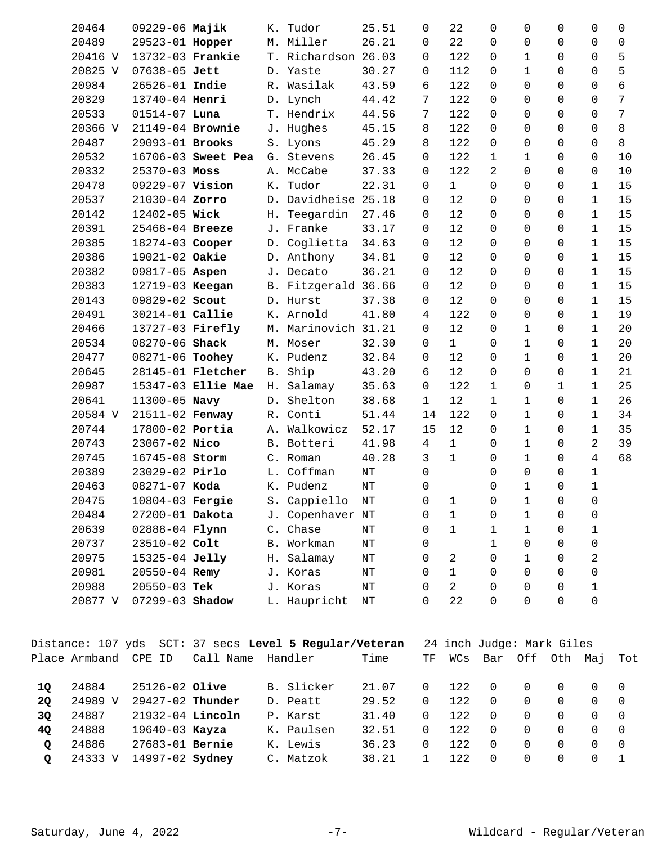|    | 20464   | $09229 - 06$ Majik       |                          |            | K. Tudor                                               | 25.51     | $\Omega$     | 22             | $\Omega$                  | 0            | $\Omega$     | 0              | 0              |
|----|---------|--------------------------|--------------------------|------------|--------------------------------------------------------|-----------|--------------|----------------|---------------------------|--------------|--------------|----------------|----------------|
|    | 20489   | 29523-01 Hopper          |                          |            | M. Miller                                              | 26.21     | 0            | 22             | $\Omega$                  | $\Omega$     | $\Omega$     | 0              | $\mathbf 0$    |
|    | 20416 V | 13732-03 Frankie         |                          |            | T. Richardson 26.03                                    |           | 0            | 122            | 0                         | 1            | $\Omega$     | $\Omega$       | 5              |
|    | 20825 V | 07638-05 Jett            |                          |            | D. Yaste                                               | 30.27     | 0            | 112            | $\Omega$                  | $\mathbf 1$  | $\Omega$     | $\Omega$       | 5              |
|    | 20984   | 26526-01 Indie           |                          |            | R. Wasilak                                             | 43.59     | 6            | 122            | $\Omega$                  | $\Omega$     | $\Omega$     | $\Omega$       | 6              |
|    | 20329   | 13740-04 Henri           |                          |            | D. Lynch                                               | 44.42     | 7            | 122            | $\Omega$                  | $\Omega$     | $\Omega$     | $\Omega$       | 7              |
|    | 20533   | $01514 - 07$ Luna        |                          |            | T. Hendrix                                             | 44.56     | 7            | 122            | $\Omega$                  | $\Omega$     | $\Omega$     | $\Omega$       | $7\phantom{.}$ |
|    | 20366 V | 21149-04 Brownie         |                          |            | J. Hughes                                              | 45.15     | 8            | 122            | $\Omega$                  | $\Omega$     | $\Omega$     | $\Omega$       | 8              |
|    | 20487   | 29093-01 Brooks          |                          |            | S. Lyons                                               | 45.29     | 8            | 122            | $\Omega$                  | $\Omega$     | $\Omega$     | $\Omega$       | 8              |
|    | 20532   |                          | 16706-03 Sweet Pea       |            | G. Stevens                                             | 26.45     | 0            | 122            | $\mathbf{1}$              | $\mathbf{1}$ | $\Omega$     | $\Omega$       | 10             |
|    | 20332   | 25370-03 Moss            |                          |            | A. McCabe                                              | 37.33     | 0            | 122            | 2                         | $\Omega$     | $\Omega$     | $\mathbf 0$    | 10             |
|    | 20478   | 09229-07 Vision          |                          | К.         | Tudor                                                  | 22.31     | 0            | $\mathbf{1}$   | $\Omega$                  | $\Omega$     | $\Omega$     | $\mathbf 1$    | 15             |
|    | 20537   | 21030-04 Zorro           |                          | D.         | Davidheise 25.18                                       |           | 0            | 12             | 0                         | 0            | $\Omega$     | 1              | 15             |
|    | 20142   | 12402-05 Wick            |                          | Н.         | Teegardin                                              | 27.46     | 0            | 12             | $\Omega$                  | $\Omega$     | $\Omega$     | 1              | 15             |
|    | 20391   | 25468-04 Breeze          |                          |            | J. Franke                                              | 33.17     | 0            | 12             | $\Omega$                  | $\Omega$     | $\Omega$     | $\mathbf{1}$   | 15             |
|    | 20385   | 18274-03 Cooper          |                          |            | D. Coglietta                                           | 34.63     | 0            | 12             | $\Omega$                  | $\Omega$     | $\Omega$     | $\mathbf{1}$   | 15             |
|    | 20386   | 19021-02 Oakie           |                          |            | D. Anthony                                             | 34.81     | 0            | 12             | 0                         | $\Omega$     | $\Omega$     | $\mathbf 1$    | 15             |
|    | 20382   | 09817-05 Aspen           |                          |            | J. Decato                                              | 36.21     | 0            | 12             | $\Omega$                  | $\Omega$     | $\Omega$     | $\mathbf{1}$   | 15             |
|    | 20383   | 12719-03 Keegan          |                          |            | B. Fitzgerald 36.66                                    |           | 0            | 12             | 0                         | $\Omega$     | $\Omega$     | $\mathbf 1$    | 15             |
|    | 20143   | 09829-02 Scout           |                          |            | D. Hurst                                               | 37.38     | 0            | 12             | $\Omega$                  | 0            | $\Omega$     | $\mathbf 1$    | 15             |
|    | 20491   | 30214-01 Callie          |                          |            | K. Arnold                                              | 41.80     | 4            | 122            | $\Omega$                  | 0            | $\Omega$     | $\mathbf 1$    | 19             |
|    | 20466   | 13727-03 Firefly         |                          | М.         | Marinovich 31.21                                       |           | 0            | 12             | $\Omega$                  | 1            | $\Omega$     | 1              | 20             |
|    | 20534   | 08270-06 Shack           |                          |            | M. Moser                                               | 32.30     | 0            | $\mathbf{1}$   | 0                         | $\mathbf{1}$ | $\Omega$     | $\mathbf{1}$   | 20             |
|    | 20477   | 08271-06 Toohey          |                          |            | K. Pudenz                                              | 32.84     | 0            | 12             | $\Omega$                  | $\mathbf{1}$ | $\Omega$     | $\mathbf{1}$   | 20             |
|    | 20645   |                          | 28145-01 <b>Fletcher</b> | <b>B</b> . | Ship                                                   | 43.20     | 6            | 12             | $\Omega$                  | $\Omega$     | $\Omega$     | $\mathbf{1}$   | 21             |
|    | 20987   |                          | 15347-03 Ellie Mae       |            | H. Salamay                                             | 35.63     | 0            | 122            | $\mathbf{1}$              | 0            | $\mathbf{1}$ | 1              | 25             |
|    | 20641   | 11300-05 Navy            |                          |            | D. Shelton                                             | 38.68     | $\mathbf{1}$ | 12             | $\mathbf{1}$              | $\mathbf{1}$ | $\Omega$     | $\mathbf{1}$   | 26             |
|    | 20584 V | 21511-02 Fenway          |                          |            | R. Conti                                               | 51.44     | 14           | 122            | $\Omega$                  | $\mathbf{1}$ | $\Omega$     | $\mathbf 1$    | 34             |
|    | 20744   | 17800-02 Portia          |                          | Α.         | Walkowicz                                              | 52.17     | 15           | 12             | $\Omega$                  | $\mathbf 1$  | $\Omega$     | $\mathbf{1}$   | 35             |
|    | 20743   | 23067-02 Nico            |                          | B.         | Botteri                                                | 41.98     | 4            | $\mathbf{1}$   | $\Omega$                  | $\mathbf 1$  | $\Omega$     | 2              | 39             |
|    | 20745   | 16745-08 Storm           |                          |            | C. Roman                                               | 40.28     | 3            | $\mathbf{1}$   | 0                         | $\mathbf{1}$ | $\Omega$     | $\overline{4}$ | 68             |
|    | 20389   | 23029-02 Pirlo           |                          |            | L. Coffman                                             | NΤ        | 0            |                | 0                         | $\Omega$     | $\mathsf{O}$ | $\mathbf 1$    |                |
|    | 20463   | 08271-07 Koda            |                          |            | K. Pudenz                                              | $\rm{NT}$ | 0            |                | $\Omega$                  | $\mathbf{1}$ | $\Omega$     | $\mathbf 1$    |                |
|    | 20475   | 10804-03 Fergie          |                          |            | S. Cappiello                                           | NT        | 0            | 1              | 0                         | 1            | 0            | 0              |                |
|    | 20484   | 27200-01 Dakota          |                          |            | J. Copenhaver NT                                       |           | 0            | $\mathbf{1}$   | 0                         | $\mathbf 1$  | 0            | 0              |                |
|    | 20639   | 02888-04 <b>Flynn</b>    |                          |            | C. Chase                                               | ΝT        | 0            | $\mathbf 1$    | $\mathbf{1}$              | $\mathbf{1}$ | $\mathbf 0$  | 1              |                |
|    | 20737   | 23510-02 Colt            |                          |            | B. Workman                                             | ΝT        | 0            |                | $\mathbf{1}$              | 0            | $\Omega$     | 0              |                |
|    | 20975   | 15325-04 Jelly           |                          |            | H. Salamay                                             | ΝT        | 0            | 2              | 0                         | $\mathbf{1}$ | 0            | 2              |                |
|    | 20981   | $20550 - 04$ Remy        |                          |            | J. Koras                                               | NΤ        | 0            | $\mathbf{1}$   | 0                         | $\Omega$     | $\Omega$     | 0              |                |
|    | 20988   | $20550 - 03$ Tek         |                          |            | J. Koras                                               | ΝT        | 0            | $\overline{a}$ | 0                         | $\Omega$     | $\Omega$     | 1              |                |
|    | 20877 V | 07299-03 Shadow          |                          |            | L. Haupricht                                           | NΤ        | 0            | 22             | $\Omega$                  | $\Omega$     | $\Omega$     | $\mathbf 0$    |                |
|    |         |                          |                          |            | Distance: 107 yds SCT: 37 secs Level 5 Regular/Veteran |           |              |                | 24 inch Judge: Mark Giles |              |              |                |                |
|    |         | Place Armband CPE ID     | Call Name Handler        |            |                                                        | Time      | ΤF           | WCs            | Bar                       |              | Off Oth Maj  |                | Tot            |
|    |         |                          |                          |            |                                                        |           |              |                |                           |              |              |                |                |
| 1Q | 24884   | 25126-02 Olive           |                          |            | B. Slicker                                             | 21.07     | 0            | 122            | 0                         | 0            | 0            | 0              | 0              |
| 2Q |         | 24989 V 29427-02 Thunder |                          |            | D. Peatt                                               | 29.52     | 0            | 122            | 0                         | 0            | $\mathbf 0$  | 0              | $\mathsf{O}$   |
| 3Q | 24887   | 21932-04 Lincoln         |                          |            | P. Karst                                               | 31.40     | 0            | 122            | $\Omega$                  | 0            | $\Omega$     | $\Omega$       | 0              |
|    |         |                          |                          |            |                                                        |           |              |                |                           |              |              |                |                |

| 40 | 24888 19640-03 <b>Kayza</b>     | K. Paulsen | 32.51 0 122 0 0 0 0 0 |  |  |  |  |
|----|---------------------------------|------------|-----------------------|--|--|--|--|
|    | Q 24886 27683-01 Bernie         | K. Lewis   | 36.23 0 122 0 0 0 0 0 |  |  |  |  |
|    | $Q = 24333$ V $14997-02$ Sydney | C. Matzok  | 38.21 1 122 0 0 0 0 1 |  |  |  |  |
|    |                                 |            |                       |  |  |  |  |
|    |                                 |            |                       |  |  |  |  |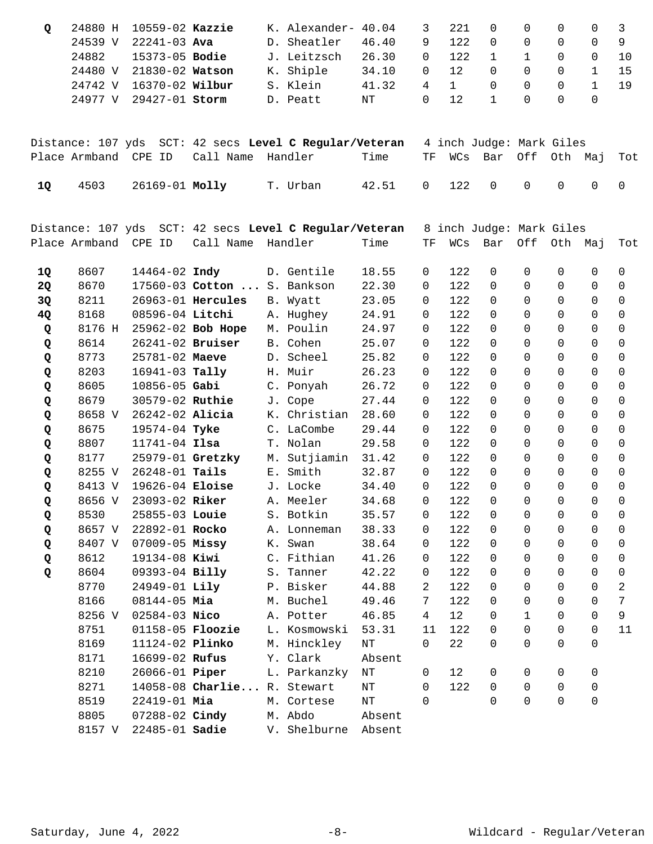| 24880 H | 10559-02 Kazzie       |  | K. Alexander- 40.04 |       | 3        | 221      | $\Box$   |          | $\Omega$ |  |
|---------|-----------------------|--|---------------------|-------|----------|----------|----------|----------|----------|--|
| 24539 V | 22241-03 <b>Ava</b>   |  | D. Sheatler         | 46.40 | 9.       | 122      | $\cap$   |          | $\Omega$ |  |
| 24882   | 15373-05 <b>Bodie</b> |  | J. Leitzsch         | 26.30 | $\Omega$ | 122      | $\sim$ 1 |          | $\Omega$ |  |
| 24480 V | 21830-02 Watson       |  | K. Shiple           | 34.10 | $\Omega$ | 12       | $\Omega$ | $\Omega$ | $\Omega$ |  |
| 24742 V |                       |  | S. Klein            | 41.32 | 4        | $\sim$ 1 | $\Omega$ | $\Omega$ | $\Omega$ |  |
| 24977 V | 29427-01 <b>Storm</b> |  | D. Peatt            | NT    | $\Omega$ | 12       |          | $\cap$   | $\Omega$ |  |

|      |                     |                                        | Distance: 107 yds SCT: 42 secs Level C Regular/Veteran 4 inch Judge: Mark Giles |                       |  |  |                            |  |
|------|---------------------|----------------------------------------|---------------------------------------------------------------------------------|-----------------------|--|--|----------------------------|--|
|      |                     | Place Armband CPE ID Call Name Handler |                                                                                 | Time                  |  |  | TF WCs Bar Off Oth Maj Tot |  |
| - 10 | 4503 26169-01 Molly |                                        | T. Urban                                                                        | 42.51 0 122 0 0 0 0 0 |  |  |                            |  |

|    | Distance: 107 yds |                         | SCT: 42 secs Level C Regular/Veteran |                     |           |                 |     | 8 inch Judge: Mark Giles |              |                |                |                |
|----|-------------------|-------------------------|--------------------------------------|---------------------|-----------|-----------------|-----|--------------------------|--------------|----------------|----------------|----------------|
|    | Place Armband     | CPE ID                  | Call Name Handler                    |                     | Time      | TF              | WCs | Bar                      | Off          | Oth Maj        |                | Tot            |
| 1Q | 8607              | 14464-02 Indy           |                                      | D. Gentile          | 18.55     | 0               | 122 | 0                        | $\Omega$     | 0              | $\mathbf 0$    | 0              |
| 2Q | 8670              |                         | 17560-03 Cotton  S. Bankson          |                     | 22.30     | 0               | 122 | $\Omega$                 | $\Omega$     | $\mathbf 0$    | $\Omega$       | $\mathsf{O}$   |
| 3Q | 8211              |                         | 26963-01 Hercules                    | B. Wyatt            | 23.05     | $\mathsf{O}$    | 122 | $\Omega$                 | $\Omega$     | $\Omega$       | $\Omega$       | $\mathbf 0$    |
| 4Q | 8168              | 08596-04 Litchi         |                                      | A. Hughey           | 24.91     | 0               | 122 | $\Omega$                 | $\Omega$     | $\Omega$       | $\mathbf 0$    | $\mathbf 0$    |
| Q  | 8176 H            |                         | 25962-02 Bob Hope                    | M. Poulin           | 24.97     | 0               | 122 | $\Omega$                 | $\Omega$     | $\mathbf 0$    | $\mathbf 0$    | $\mathbf 0$    |
| Q  | 8614              | 26241-02 Bruiser        |                                      | B. Cohen            | 25.07     | $\Omega$        | 122 | $\Omega$                 | $\Omega$     | $\Omega$       | $\Omega$       | $\mathbf 0$    |
| Q  | 8773              | 25781-02 Maeve          |                                      | D. Scheel           | 25.82     | $\mathbf 0$     | 122 | $\Omega$                 | $\Omega$     | $\Omega$       | $\Omega$       | $\mathbf 0$    |
| Q  | 8203              | $16941 - 03$ Tally      |                                      | H. Muir             | 26.23     | 0               | 122 | $\Omega$                 | $\Omega$     | $\Omega$       | $\Omega$       | $\mathbf 0$    |
| Q  | 8605              | $10856 - 05$ Gabi       |                                      | C. Ponyah           | 26.72     | 0               | 122 | $\Omega$                 | $\Omega$     | $\Omega$       | $\Omega$       | $\Omega$       |
| Q  | 8679              | 30579-02 Ruthie         |                                      | J. Cope             | 27.44     | 0               | 122 | $\Omega$                 | $\Omega$     | $\Omega$       | $\Omega$       | $\Omega$       |
| Q  | 8658 V            | 26242-02 Alicia         |                                      | K. Christian        | 28.60     | 0               | 122 | $\Omega$                 | $\Omega$     | $\Omega$       | $\Omega$       | 0              |
| Q  | 8675              | 19574-04 Tyke           |                                      | C. LaCombe          | 29.44     | 0               | 122 | $\Omega$                 | $\Omega$     | $\Omega$       | $\Omega$       | $\Omega$       |
| Q  | 8807              | $11741 - 04$ Ilsa       |                                      | T. Nolan            | 29.58     | $\Omega$        | 122 | $\Omega$                 | $\Omega$     | $\Omega$       | $\Omega$       | $\Omega$       |
| Q  | 8177              | 25979-01 Gretzky        |                                      | M. Sutjiamin        | 31.42     | 0               | 122 | $\Omega$                 | $\Omega$     | $\overline{0}$ | 0              | $\mathbf 0$    |
| Q  | 8255 V            | $26248 - 01$ Tails      |                                      | E. Smith            | 32.87     | 0               | 122 | $\Omega$                 | $\Omega$     | $\mathbf 0$    | $\Omega$       | $\mathbf 0$    |
| Q  | 8413 V            | 19626-04 Eloise         |                                      | J. Locke            | 34.40     | 0               | 122 | $\Omega$                 | $\Omega$     | $\Omega$       | $\Omega$       | $\Omega$       |
| Q  | 8656 V            | 23093-02 Riker          |                                      | A. Meeler           | 34.68     | 0               | 122 | $\Omega$                 | $\Omega$     | $\Omega$       | $\Omega$       | $\Omega$       |
| Q  | 8530              | 25855-03 Louie          |                                      | S. Botkin           | 35.57     | 0               | 122 | $\Omega$                 | $\Omega$     | $\Omega$       | $\Omega$       | $\Omega$       |
| Q  | 8657 V            | 22892-01 Rocko          |                                      | A. Lonneman         | 38.33     | 0               | 122 | $\Omega$                 | $\Omega$     | $\Omega$       | $\Omega$       | $\Omega$       |
| Q  | 8407 V            | $07009 - 05$ Missy      |                                      | K. Swan             | 38.64     | 0               | 122 | $\Omega$                 | $\Omega$     | $\Omega$       | $\Omega$       | 0              |
| Q  | 8612              | 19134-08 Kiwi           |                                      | C. Fithian          | 41.26     | 0               | 122 | $\Omega$                 | $\Omega$     | $\Omega$       | $\Omega$       | $\Omega$       |
| Q  | 8604              | 09393-04 Billy          |                                      | S. Tanner           | 42.22     | 0               | 122 | $\Omega$                 | $\Omega$     | $\Omega$       | $\Omega$       | 0              |
|    | 8770              | 24949-01 Lily           |                                      | P. Bisker           | 44.88     | $\overline{2}$  | 122 | $\Omega$                 | $\Omega$     | $\Omega$       | $\Omega$       | $\overline{2}$ |
|    | 8166              | $08144 - 05$ Mia        |                                      | M. Buchel           | 49.46     | $7\phantom{.0}$ | 122 | $\Omega$                 | $\Omega$     | $\mathbf 0$    | $\mathsf{O}$   | $7\phantom{.}$ |
|    | 8256 V            | $02584 - 03$ Nico       |                                      | A. Potter           | 46.85     | $4\overline{ }$ | 12  | $\mathbf 0$              | $\mathbf{1}$ | $\mathbf 0$    | $\overline{0}$ | $\overline{9}$ |
|    | 8751              | 01158-05 <b>Floozie</b> |                                      | L. Kosmowski        | 53.31     | 11              | 122 | $\Omega$                 | $\Omega$     | $\overline{0}$ | $\mathbf 0$    | 11             |
|    | 8169              | 11124-02 Plinko         |                                      | M. Hinckley         | NΤ        | 0               | 22  | $\Omega$                 | $\Omega$     | $\Omega$       | $\Omega$       |                |
|    | 8171              | 16699-02 Rufus          |                                      | Y. Clark            | Absent    |                 |     |                          |              |                |                |                |
|    | 8210              | 26066-01 <b>Piper</b>   |                                      | L. Parkanzky        | $\rm{NT}$ | $\mathbf 0$     | 12  | 0                        | $\Omega$     | 0              | 0              |                |
|    | 8271              |                         | 14058-08 Charlie R. Stewart          |                     | NT        | $\Omega$        | 122 | $\Omega$                 | $\Omega$     | $\Omega$       | $\mathbf 0$    |                |
|    | 8519              | 22419-01 Mia            |                                      | M. Cortese          | $\rm{NT}$ | $\Omega$        |     | $\Omega$                 | $\Omega$     | $\overline{0}$ | $\mathbf 0$    |                |
|    | 8805              | 07288-02 Cindy          |                                      | M. Abdo             | Absent    |                 |     |                          |              |                |                |                |
|    | 8157 V            | 22485-01 Sadie          |                                      | V. Shelburne Absent |           |                 |     |                          |              |                |                |                |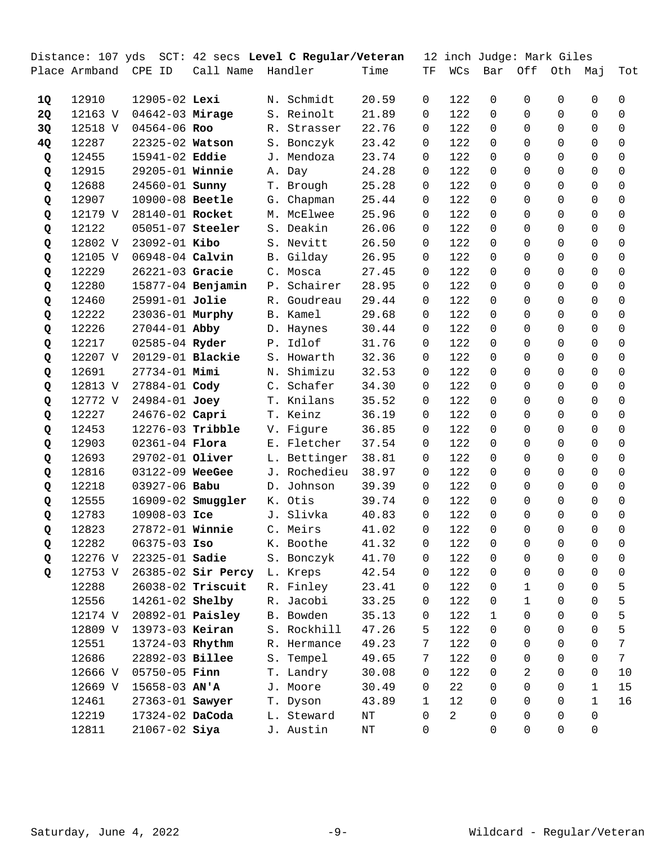|    | Distance: 107 yds |                         | SCT: 42 secs Level C Regular/Veteran |       |              |       |              |                |              | 12 inch Judge: Mark Giles |              |              |                     |
|----|-------------------|-------------------------|--------------------------------------|-------|--------------|-------|--------------|----------------|--------------|---------------------------|--------------|--------------|---------------------|
|    | Place Armband     | CPE ID                  | Call Name                            |       | Handler      | Time  | TF           | WCs            | Bar          | Off                       | Oth          | Мај          | Tot                 |
| 1Q | 12910             | 12905-02 Lexi           |                                      |       | N. Schmidt   | 20.59 | $\mathbf 0$  | 122            | 0            | 0                         | $\mathbf 0$  | 0            | 0                   |
| 2Q | 12163 V           | 04642-03 Mirage         |                                      |       | S. Reinolt   | 21.89 | $\Omega$     | 122            | $\Omega$     | $\Omega$                  | $\Omega$     | $\Omega$     | $\Omega$            |
| 3Q | 12518 V           | 04564-06 Roo            |                                      | R.    | Strasser     | 22.76 | 0            | 122            | $\Omega$     | $\Omega$                  | $\Omega$     | $\Omega$     | $\Omega$            |
| 4Q | 12287             | 22325-02 Watson         |                                      |       | S. Bonczyk   | 23.42 | 0            | 122            | $\Omega$     | $\Omega$                  | $\Omega$     | $\Omega$     | $\Omega$            |
| Q  | 12455             | 15941-02 Eddie          |                                      | J.    | Mendoza      | 23.74 | 0            | 122            | $\Omega$     | $\Omega$                  | $\Omega$     | $\Omega$     | 0                   |
| Q  | 12915             | 29205-01 Winnie         |                                      |       | A. Day       | 24.28 | $\Omega$     | 122            | $\Omega$     | $\Omega$                  | $\Omega$     | $\Omega$     | $\Omega$            |
| Q  | 12688             | 24560-01 <b>Sunny</b>   |                                      |       | T. Brough    | 25.28 | 0            | 122            | $\Omega$     | $\Omega$                  | $\Omega$     | $\Omega$     | $\Omega$            |
| Q  | 12907             | 10900-08 Beetle         |                                      |       | G. Chapman   | 25.44 | 0            | 122            | $\Omega$     | $\Omega$                  | $\Omega$     | $\Omega$     | 0                   |
| Q  | 12179 V           | 28140-01 Rocket         |                                      |       | M. McElwee   | 25.96 | 0            | 122            | $\Omega$     | $\Omega$                  | $\Omega$     | $\Omega$     | $\mathbf 0$         |
| Q  | 12122             | 05051-07 Steeler        |                                      |       | S. Deakin    | 26.06 | 0            | 122            | $\Omega$     | $\Omega$                  | $\Omega$     | $\Omega$     | $\Omega$            |
| Q  | 12802 V           | 23092-01 Kibo           |                                      |       | S. Nevitt    | 26.50 | 0            | 122            | $\Omega$     | $\Omega$                  | $\Omega$     | $\Omega$     | 0                   |
| Q  | 12105 V           | 06948-04 Calvin         |                                      |       | B. Gilday    | 26.95 | 0            | 122            | $\Omega$     | $\Omega$                  | $\Omega$     | $\Omega$     | 0                   |
| Q  | 12229             | 26221-03 Gracie         |                                      |       | C. Mosca     | 27.45 | 0            | 122            | $\Omega$     | $\Omega$                  | $\Omega$     | $\Omega$     | $\mathbf 0$         |
| Q  | 12280             |                         | 15877-04 Benjamin                    | $P$ . | Schairer     | 28.95 | 0            | 122            | $\Omega$     | $\Omega$                  | $\Omega$     | $\Omega$     | $\Omega$            |
| Q  | 12460             | 25991-01 Jolie          |                                      |       | R. Goudreau  | 29.44 | $\Omega$     | 122            | $\Omega$     | $\Omega$                  | $\Omega$     | $\Omega$     | 0                   |
| Q  | 12222             | 23036-01 Murphy         |                                      |       | B. Kamel     | 29.68 | 0            | 122            | $\Omega$     | $\Omega$                  | $\Omega$     | $\Omega$     | $\Omega$            |
| Q  | 12226             | 27044-01 Abby           |                                      |       | D. Haynes    | 30.44 | 0            | 122            | $\Omega$     | $\Omega$                  | $\Omega$     | $\Omega$     | $\mathbf 0$         |
| Q  | 12217             | 02585-04 Ryder          |                                      | P.    | Idlof        | 31.76 | 0            | 122            | $\Omega$     | $\Omega$                  | $\Omega$     | $\Omega$     | $\Omega$            |
| Q  | 12207 V           | 20129-01 Blackie        |                                      | $S$ . | Howarth      | 32.36 | 0            | 122            | $\Omega$     | $\Omega$                  | $\Omega$     | $\Omega$     | 0                   |
| Q  | 12691             | 27734-01 Mimi           |                                      | Ν.    | Shimizu      | 32.53 | 0            | 122            | $\Omega$     | $\Omega$                  | $\Omega$     | $\Omega$     | $\Omega$            |
| Q  | 12813 V           | 27884-01 Cody           |                                      |       | C. Schafer   | 34.30 | 0            | 122            | $\Omega$     | $\Omega$                  | $\Omega$     | $\mathbf 0$  | 0                   |
| Q  | 12772 V           | 24984-01 Joey           |                                      |       | T. Knilans   | 35.52 | 0            | 122            | $\Omega$     | $\Omega$                  | $\Omega$     | $\Omega$     | 0                   |
| Q  | 12227             | 24676-02 Capri          |                                      |       | T. Keinz     | 36.19 | $\Omega$     | 122            | $\Omega$     | $\Omega$                  | $\Omega$     | $\Omega$     | 0                   |
| Q  | 12453             | 12276-03 Tribble        |                                      |       | V. Figure    | 36.85 | 0            | 122            | $\Omega$     | $\Omega$                  | $\Omega$     | $\Omega$     | 0                   |
| Q  | 12903             | $02361 - 04$ Flora      |                                      |       | E. Fletcher  | 37.54 | 0            | 122            | $\Omega$     | $\Omega$                  | $\Omega$     | $\mathbf 0$  | 0                   |
| Q  | 12693             | 29702-01 Oliver         |                                      |       | L. Bettinger | 38.81 | 0            | 122            | $\Omega$     | $\Omega$                  | $\Omega$     | $\Omega$     | 0                   |
| Q  | 12816             | 03122-09 WeeGee         |                                      | J.    | Rochedieu    | 38.97 | $\Omega$     | 122            | $\Omega$     | $\Omega$                  | $\Omega$     | $\Omega$     | $\Omega$            |
| Q  | 12218             | 03927-06 Babu           |                                      | D.    | Johnson      | 39.39 | 0            | 122            | $\Omega$     | $\Omega$                  | $\Omega$     | $\Omega$     | $\Omega$            |
| Q  | 12555             |                         | 16909-02 <b>Smuggler</b>             |       | K. Otis      | 39.74 | $\mathbf 0$  | 122            | $\Omega$     | $\Omega$                  | $\Omega$     | 0            | 0                   |
| Q  | 12783             | 10908-03 Ice            |                                      |       | J. Slivka    | 40.83 | 0            | 122            | $\Omega$     | $\Omega$                  | $\Omega$     | $\Omega$     | $\Omega$            |
| Q  | 12823             | 27872-01 Winnie         |                                      |       | C. Meirs     | 41.02 | 0            | 122            | 0            | 0                         | 0            | 0            | 0                   |
| Q  | 12282             | $06375 - 03$ Iso        |                                      |       | K. Boothe    | 41.32 | 0            | 122            | 0            | 0                         | 0            | 0            | 0                   |
| Q  | 12276 V           | 22325-01 Sadie          |                                      |       | S. Bonczyk   | 41.70 | 0            | 122            | 0            | $\Omega$                  | $\mathbf 0$  | $\mathbf 0$  | 0                   |
| Q  | 12753 V           |                         | 26385-02 Sir Percy                   |       | L. Kreps     | 42.54 | 0            | 122            | 0            | $\Omega$                  | $\Omega$     | $\mathsf{O}$ | $\mathsf{O}\xspace$ |
|    | 12288             |                         | 26038-02 Triscuit                    |       | R. Finley    | 23.41 | 0            | 122            | 0            | $\mathbf 1$               | $\Omega$     | 0            | 5                   |
|    | 12556             | 14261-02 Shelby         |                                      |       | R. Jacobi    | 33.25 | 0            | 122            | 0            | $\mathbf 1$               | $\Omega$     | $\Omega$     | 5                   |
|    | 12174 V           | 20892-01 <b>Paisley</b> |                                      |       | B. Bowden    | 35.13 | 0            | 122            | $\mathbf{1}$ | $\Omega$                  | $\Omega$     | 0            | 5                   |
|    | 12809 V           | 13973-03 Keiran         |                                      |       | S. Rockhill  | 47.26 | 5.           | 122            | 0            | $\Omega$                  | $\Omega$     | $\mathbf 0$  | 5                   |
|    | 12551             | 13724-03 Rhythm         |                                      |       | R. Hermance  | 49.23 | 7            | 122            | $\Omega$     | 0                         | $\Omega$     | 0            | $7\phantom{.}$      |
|    | 12686             | 22892-03 Billee         |                                      | $S$ . | Tempel       | 49.65 | 7            | 122            | 0            | 0                         | $\Omega$     | $\Omega$     | $7\overline{ }$     |
|    | 12666 V           | $05750 - 05$ Finn       |                                      |       | T. Landry    | 30.08 | 0            | 122            | $\Omega$     | 2                         | $\Omega$     | $\Omega$     | 10                  |
|    | 12669 V           | $15658 - 03$ AN'A       |                                      |       | J. Moore     | 30.49 | 0            | 22             | $\Omega$     | $\Omega$                  | $\Omega$     | $\mathbf{1}$ | 15                  |
|    | 12461             | 27363-01 Sawyer         |                                      |       | T. Dyson     | 43.89 | $\mathbf{1}$ | 12             | 0            | $\Omega$                  | $\Omega$     | $\mathbf{1}$ | 16                  |
|    | 12219             | 17324-02 DaCoda         |                                      |       | L. Steward   | ΝT    | 0            | $\overline{a}$ | 0            | $\Omega$                  | $\Omega$     | $\Omega$     |                     |
|    | 12811             | $21067 - 02$ Siya       |                                      |       | J. Austin    | NT    | 0            |                | 0            | $\Omega$                  | $\mathsf{O}$ | $\mathbf 0$  |                     |
|    |                   |                         |                                      |       |              |       |              |                |              |                           |              |              |                     |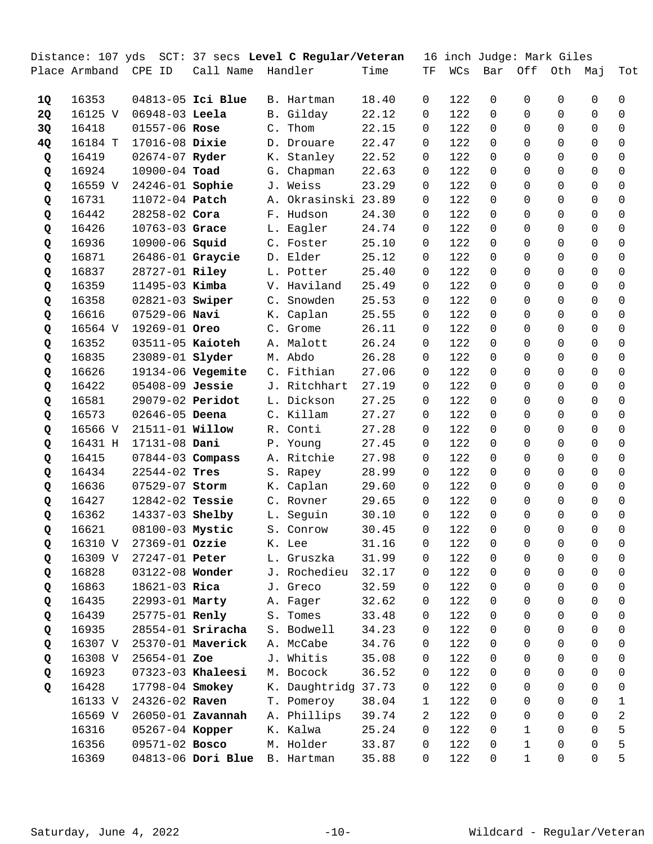|    | Distance: 107 yds |                        |                               |    | SCT: 37 secs Level C Regular/Veteran |       |                |     |                | 16 inch Judge: Mark Giles |              |                |                |
|----|-------------------|------------------------|-------------------------------|----|--------------------------------------|-------|----------------|-----|----------------|---------------------------|--------------|----------------|----------------|
|    | Place Armband     | CPE ID                 | Call Name                     |    | Handler                              | Time  | TF             | WCs | Bar            | Off                       | Oth          | Maj            | Tot            |
| 1Q | 16353             |                        | 04813-05 Ici Blue             |    | B. Hartman                           | 18.40 | 0              | 122 | $\mathbf 0$    | 0                         | $\mathbf 0$  | $\mathbf 0$    | 0              |
| 2Q | 16125 V           | 06948-03 Leela         |                               |    | B. Gilday                            | 22.12 | 0              | 122 | $\Omega$       | 0                         | $\Omega$     | $\mathbf 0$    | $\mathbf 0$    |
| 3Q | 16418             | 01557-06 Rose          |                               | C. | Thom                                 | 22.15 | 0              | 122 | 0              | $\Omega$                  | $\Omega$     | $\Omega$       | 0              |
| 4Q | 16184 T           | 17016-08 Dixie         |                               |    | D. Drouare                           | 22.47 | 0              | 122 | 0              | 0                         | $\Omega$     | $\Omega$       | $\Omega$       |
| Q  | 16419             | 02674-07 Ryder         |                               |    | K. Stanley                           | 22.52 | 0              | 122 | $\Omega$       | $\Omega$                  | $\Omega$     | $\Omega$       | 0              |
| Q  | 16924             | 10900-04 Toad          |                               |    | G. Chapman                           | 22.63 | 0              | 122 | $\Omega$       | 0                         | $\Omega$     | $\Omega$       | $\mathbf 0$    |
| Q  | 16559 V           | 24246-01 Sophie        |                               |    | J. Weiss                             | 23.29 | 0              | 122 | $\Omega$       | 0                         | $\Omega$     | $\Omega$       | $\Omega$       |
| Q  | 16731             | 11072-04 Patch         |                               |    | A. Okrasinski 23.89                  |       | 0              | 122 | $\Omega$       | 0                         | $\Omega$     | $\Omega$       | $\Omega$       |
| Q  | 16442             | 28258-02 Cora          |                               |    | F. Hudson                            | 24.30 | 0              | 122 | $\Omega$       | $\Omega$                  | $\Omega$     | $\Omega$       | 0              |
| Q  | 16426             | 10763-03 Grace         |                               |    | L. Eagler                            | 24.74 | 0              | 122 | $\Omega$       | 0                         | $\Omega$     | $\Omega$       | $\mathbf 0$    |
| Q  | 16936             | 10900-06 Squid         |                               |    | C. Foster                            | 25.10 | 0              | 122 | $\Omega$       | 0                         | $\Omega$     | $\Omega$       | $\Omega$       |
| Q  | 16871             |                        | 26486-01 Graycie              |    | D. Elder                             | 25.12 | 0              | 122 | $\Omega$       | 0                         | $\Omega$     | $\Omega$       | $\Omega$       |
| Q  | 16837             | 28727-01 Riley         |                               |    | L. Potter                            | 25.40 | 0              | 122 | $\Omega$       | $\Omega$                  | $\Omega$     | $\Omega$       | 0              |
| Q  | 16359             | 11495-03 Kimba         |                               |    | V. Haviland                          | 25.49 | 0              | 122 | $\Omega$       | $\Omega$                  | $\Omega$     | $\Omega$       | $\Omega$       |
| Q  | 16358             | 02821-03 Swiper        |                               |    | C. Snowden                           | 25.53 | 0              | 122 | $\Omega$       | 0                         | $\Omega$     | $\Omega$       | $\Omega$       |
| Q  | 16616             | $07529 - 06$ Navi      |                               |    | K. Caplan                            | 25.55 | 0              | 122 | $\Omega$       | 0                         | $\Omega$     | $\Omega$       | $\Omega$       |
| Q  | 16564 V           | 19269-01 Oreo          |                               |    | C. Grome                             | 26.11 | 0              | 122 | $\Omega$       | $\Omega$                  | $\Omega$     | $\Omega$       | $\Omega$       |
| Q  | 16352             | 03511-05 Kaioteh       |                               |    | A. Malott                            | 26.24 | 0              | 122 | $\Omega$       | $\Omega$                  | $\Omega$     | $\Omega$       | $\mathbf 0$    |
| Q  | 16835             | 23089-01 slyder        |                               |    | M. Abdo                              | 26.28 | 0              | 122 | $\Omega$       | 0                         | $\Omega$     | $\Omega$       | $\Omega$       |
| Q  | 16626             |                        | 19134-06 Vegemite             |    | C. Fithian                           | 27.06 | 0              | 122 | $\Omega$       | 0                         | $\Omega$     | $\Omega$       | $\Omega$       |
| Q  | 16422             | 05408-09 Jessie        |                               |    | J. Ritchhart                         | 27.19 | 0              | 122 | $\Omega$       | $\Omega$                  | $\Omega$     | $\Omega$       | $\Omega$       |
| Q  | 16581             | 29079-02 Peridot       |                               |    | L. Dickson                           | 27.25 | 0              | 122 | $\Omega$       | $\Omega$                  | $\Omega$     | $\Omega$       | $\mathbf 0$    |
| Q  | 16573             | 02646-05 Deena         |                               |    | C. Killam                            | 27.27 | 0              | 122 | 0              | 0                         | $\Omega$     | $\Omega$       | $\Omega$       |
| Q  | 16566 V           | 21511-01 <b>Willow</b> |                               |    | R. Conti                             | 27.28 | 0              | 122 | $\Omega$       | 0                         | $\Omega$     | $\Omega$       | $\Omega$       |
| Q  | 16431 H           | 17131-08 Dani          |                               |    | P. Young                             | 27.45 | 0              | 122 | $\Omega$       | $\Omega$                  | $\Omega$     | $\Omega$       | $\Omega$       |
| Q  | 16415             | 07844-03 Compass       |                               |    | A. Ritchie                           | 27.98 | 0              | 122 | $\Omega$       | $\Omega$                  | $\Omega$     | $\Omega$       | $\mathbf 0$    |
| Q  | 16434             | $22544 - 02$ Tres      |                               |    | S. Rapey                             | 28.99 | 0              | 122 | 0              | 0                         | $\Omega$     | $\Omega$       | $\mathbf 0$    |
| Q  | 16636             | 07529-07 Storm         |                               |    | K. Caplan                            | 29.60 | 0              | 122 | 0              | 0                         | $\Omega$     | $\Omega$       | 0              |
| Q  | 16427             | 12842-02 Tessie        |                               |    | C. Rovner                            | 29.65 | 0              | 122 | $\Omega$       | $\Omega$                  | $\Omega$     | $\Omega$       | $\Omega$       |
| Q  | 16362             | 14337-03 Shelby        |                               |    | L. Seguin                            | 30.10 | 0              | 122 | $\Omega$       | 0                         | $\mathbf 0$  | $\mathbf 0$    | 0              |
| Q  | 16621             | 08100-03 Mystic        |                               |    | S. Conrow                            | 30.45 | $\mathsf{O}$   | 122 | $\overline{0}$ | $\overline{0}$            | $\mathsf{O}$ | $\overline{0}$ | $\mathbf 0$    |
| Q  | 16310 V           | $27369 - 01$ Ozzie     |                               |    | K. Lee                               | 31.16 | 0              | 122 | 0              | 0                         | 0            | 0              | 0              |
| Q  | 16309 V           | 27247-01 Peter         |                               |    | L. Gruszka                           | 31.99 | 0              | 122 | $\Omega$       | 0                         | $\Omega$     | $\Omega$       | 0              |
| Q  | 16828             | 03122-08 Wonder        |                               |    | J. Rochedieu                         | 32.17 | 0              | 122 | $\Omega$       | 0                         | $\Omega$     | $\Omega$       | $\mathbf 0$    |
| Q  | 16863             | 18621-03 Rica          |                               |    | J. Greco                             | 32.59 | 0              | 122 | 0              | 0                         | $\Omega$     | $\Omega$       | $\mathbf 0$    |
| Q  | 16435             | 22993-01 Marty         |                               |    | A. Fager                             | 32.62 | 0              | 122 | 0              | 0                         | $\Omega$     | $\Omega$       | 0              |
| Q  | 16439             | 25775-01 Renly         |                               |    | S. Tomes                             | 33.48 | 0              | 122 | $\Omega$       | 0                         | $\Omega$     | $\Omega$       | 0              |
| Q  | 16935             |                        | $28554-01$ Sriracha           |    | S. Bodwell                           | 34.23 | 0              | 122 | $\Omega$       | 0                         | $\Omega$     | $\Omega$       | $\mathbf 0$    |
| Q  | 16307 V           |                        | 25370-01 Maverick             |    | A. McCabe                            | 34.76 | 0              | 122 | $\Omega$       | 0                         | $\Omega$     | $\Omega$       | $\mathbf 0$    |
| Q  | 16308 V           | $25654 - 01$ Zoe       |                               |    | J. Whitis                            | 35.08 | 0              | 122 | $\Omega$       | 0                         | $\Omega$     | $\Omega$       | 0              |
| Q  | 16923             |                        | 07323-03 Khaleesi             |    | M. Bocock                            | 36.52 | 0              | 122 | $\Omega$       | 0                         | $\Omega$     | $\Omega$       | 0              |
| Q  | 16428             | 17798-04 Smokey        |                               |    | K. Daughtridg 37.73                  |       | 0              | 122 | $\Omega$       | 0                         | $\Omega$     | $\Omega$       | $\mathbf 0$    |
|    | 16133 V           | 24326-02 Raven         |                               |    | T. Pomeroy                           | 38.04 | $\mathbf{1}$   | 122 | $\Omega$       | 0                         | $\Omega$     | $\mathbf 0$    | 1              |
|    | 16569 V           |                        | 26050-01 <b>Zavannah</b>      |    | A. Phillips                          | 39.74 | $\overline{2}$ | 122 | 0              | 0                         | $\Omega$     | $\Omega$       | $\overline{c}$ |
|    | 16316             | 05267-04 Kopper        |                               |    | K. Kalwa                             | 25.24 | 0              | 122 | 0              | $\mathbf 1$               | 0            | $\Omega$       | 5              |
|    | 16356             | 09571-02 Bosco         |                               |    | M. Holder                            | 33.87 | 0              | 122 | $\Omega$       | $\mathbf{1}$              | $\Omega$     | $\Omega$       | 5              |
|    | 16369             |                        | 04813-06 Dori Blue B. Hartman |    |                                      | 35.88 | 0              | 122 | $\mathbf 0$    | $\mathbf 1$               | $\mathbf 0$  | $\mathsf{O}$   | 5              |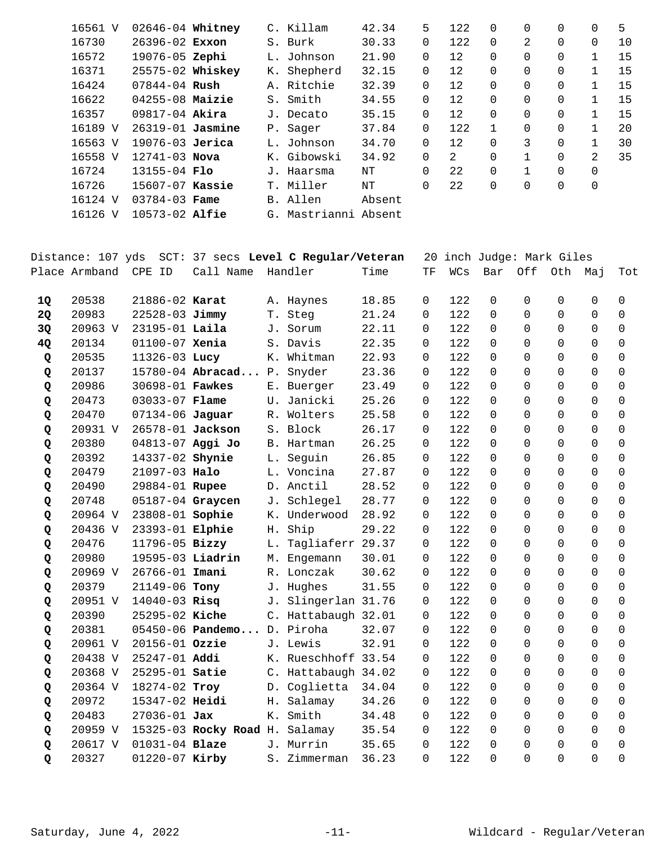| 16561 V | 02646-04 Whitney     |  | C. Killam     | 42.34  | 5.          | 122 | $\Omega$ | 0 | $\Omega$ | 0        | 5  |
|---------|----------------------|--|---------------|--------|-------------|-----|----------|---|----------|----------|----|
| 16730   | $26396 - 02$ Exxon   |  | S. Burk       | 30.33  | $\mathbf 0$ | 122 | $\Omega$ | 2 | $\Omega$ | $\Omega$ | 10 |
| 16572   | 19076-05 Zephi       |  | L. Johnson    | 21.90  | 0           | 12  | $\Omega$ | 0 | $\Omega$ |          | 15 |
| 16371   | 25575-02 Whiskey     |  | K. Shepherd   | 32.15  | 0           | 12  | $\Omega$ | 0 | $\Omega$ |          | 15 |
| 16424   | $07844 - 04$ Rush    |  | A. Ritchie    | 32.39  | $\mathbf 0$ | 12  | $\Omega$ | 0 | $\Omega$ | 1        | 15 |
| 16622   | $04255 - 08$ Maizie  |  | S. Smith      | 34.55  | 0           | 12  | $\Omega$ | 0 | $\Omega$ |          | 15 |
| 16357   | 09817-04 Akira       |  | J. Decato     | 35.15  | 0           | 12  | $\Omega$ | 0 | $\Omega$ |          | 15 |
| 16189 V | $26319 - 01$ Jasmine |  | P. Sager      | 37.84  | $\mathbf 0$ | 122 |          | 0 | $\Omega$ | 1        | 20 |
| 16563 V | 19076-03 Jerica      |  | L. Johnson    | 34.70  | $\mathbf 0$ | 12  | $\Omega$ | 3 | $\Omega$ |          | 30 |
| 16558 V | $12741 - 03$ Nova    |  | K. Gibowski   | 34.92  | $\Omega$    | 2   | $\Omega$ |   | $\Omega$ | 2        | 35 |
| 16724   | $13155 - 04$ Flo     |  | J. Haarsma    | NΤ     | $\Omega$    | 22  | $\Omega$ |   | $\Omega$ | $\Omega$ |    |
| 16726   | 15607-07 Kassie      |  | T. Miller     | NΤ     | 0           | 22  | 0        | 0 | $\Omega$ | 0        |    |
| 16124 V | $03784 - 03$ Fame    |  | B. Allen      | Absent |             |     |          |   |          |          |    |
| 16126 V | 10573-02 Alfie       |  | G. Mastrianni | Absent |             |     |          |   |          |          |    |

|    | Distance: 107 yds    |                       |                                |    | SCT: 37 secs Level C Regular/Veteran |       |          |     | 20 inch Judge: Mark Giles |                |          |                |                     |
|----|----------------------|-----------------------|--------------------------------|----|--------------------------------------|-------|----------|-----|---------------------------|----------------|----------|----------------|---------------------|
|    | Place Armband CPE ID |                       | Call Name                      |    | Handler                              | Time  | TF       | WCs | Bar                       | Off            | Oth      | Мај            | Tot                 |
| 10 | 20538                | 21886-02 Karat        |                                |    | A. Haynes                            | 18.85 | $\Omega$ | 122 | $\Omega$                  | $\Omega$       | 0        | 0              | $\Omega$            |
| 2Q | 20983                | 22528-03 Jimmy        |                                |    | T. Steg                              | 21.24 | $\Omega$ | 122 | $\Omega$                  | $\Omega$       | $\Omega$ | $\Omega$       | $\Omega$            |
| 3Q | 20963 V              | 23195-01 Laila        |                                |    | J. Sorum                             | 22.11 | $\Omega$ | 122 | $\Omega$                  | $\Omega$       | $\Omega$ | $\Omega$       | $\Omega$            |
| 4Q | 20134                | $01100 - 07$ Xenia    |                                |    | S. Davis                             | 22.35 | $\Omega$ | 122 | $\Omega$                  | $\Omega$       | $\Omega$ | $\Omega$       | $\Omega$            |
| Q  | 20535                | 11326-03 Lucy         |                                |    | K. Whitman                           | 22.93 | 0        | 122 | $\Omega$                  | $\Omega$       | $\Omega$ | $\Omega$       | $\Omega$            |
| Q  | 20137                |                       | 15780-04 Abracad P. Snyder     |    |                                      | 23.36 | $\Omega$ | 122 | $\Omega$                  | $\Omega$       | $\Omega$ | $\Omega$       | $\Omega$            |
| Q  | 20986                | 30698-01 Fawkes       |                                |    | E. Buerger                           | 23.49 | 0        | 122 | $\Omega$                  | $\Omega$       | $\Omega$ | $\Omega$       | 0                   |
| Q  | 20473                | 03033-07 <b>Flame</b> |                                |    | U. Janicki                           | 25.26 | $\Omega$ | 122 | $\Omega$                  | $\Omega$       | $\Omega$ | $\Omega$       | $\Omega$            |
| Q  | 20470                | $07134 - 06$ Jaguar   |                                |    | R. Wolters                           | 25.58 | 0        | 122 | $\Omega$                  | $\Omega$       | 0        | $\Omega$       | 0                   |
| Q  | 20931 V              |                       | 26578-01 Jackson               |    | S. Block                             | 26.17 | 0        | 122 | $\mathbf 0$               | $\Omega$       | $\Omega$ | $\Omega$       | $\mathsf{O}\xspace$ |
| Q  | 20380                |                       | 04813-07 Aggi Jo               |    | B. Hartman                           | 26.25 | $\Omega$ | 122 | $\Omega$                  | $\Omega$       | $\Omega$ | $\mathbf 0$    | 0                   |
| Q  | 20392                | 14337-02 Shynie       |                                |    | L. Seguin                            | 26.85 | 0        | 122 | $\Omega$                  | $\Omega$       | $\Omega$ | $\mathbf 0$    | 0                   |
| Q  | 20479                | 21097-03 Halo         |                                |    | L. Voncina                           | 27.87 | 0        | 122 | $\Omega$                  | $\Omega$       | $\Omega$ | $\mathbf 0$    | $\Omega$            |
| Q  | 20490                | 29884-01 Rupee        |                                |    | D. Anctil                            | 28.52 | 0        | 122 | $\Omega$                  | $\Omega$       | $\Omega$ | $\Omega$       | 0                   |
| Q  | 20748                |                       | 05187-04 Graycen               |    | J. Schlegel                          | 28.77 | $\Omega$ | 122 | $\Omega$                  | $\Omega$       | $\Omega$ | $\Omega$       | $\Omega$            |
| Q  | 20964 V              | 23808-01 Sophie       |                                |    | K. Underwood                         | 28.92 | 0        | 122 | $\Omega$                  | $\Omega$       | $\Omega$ | $\Omega$       | $\Omega$            |
| Q  | 20436 V              | 23393-01 Elphie       |                                | Η. | Ship                                 | 29.22 | $\Omega$ | 122 | $\Omega$                  | $\Omega$       | $\Omega$ | $\Omega$       | $\Omega$            |
| Q  | 20476                | 11796-05 Bizzy        |                                | L. | Tagliaferr 29.37                     |       | $\Omega$ | 122 | $\Omega$                  | $\Omega$       | $\Omega$ | $\Omega$       | $\Omega$            |
| Q  | 20980                |                       | 19595-03 Liadrin               |    | M. Engemann                          | 30.01 | 0        | 122 | $\Omega$                  | $\Omega$       | $\Omega$ | $\Omega$       | 0                   |
| Q  | 20969 V              | 26766-01 Imani        |                                |    | R. Lonczak                           | 30.62 | 0        | 122 | $\Omega$                  | $\Omega$       | $\Omega$ | $\Omega$       | $\Omega$            |
| Q  | 20379                | 21149-06 Tony         |                                |    | J. Hughes                            | 31.55 | 0        | 122 | $\Omega$                  | $\Omega$       | $\Omega$ | $\Omega$       | $\Omega$            |
| Q  |                      | 20951 V 14040-03 Risq |                                |    | J. Slingerlan 31.76                  |       | $\Omega$ | 122 | $\Omega$                  | $\Omega$       | $\Omega$ | $\mathbf 0$    | 0                   |
| Q  | 20390                | 25295-02 Kiche        |                                |    | C. Hattabaugh 32.01                  |       | 0        | 122 | $\Omega$                  | $\overline{0}$ | $\Omega$ | $\overline{0}$ | 0                   |
| Q  | 20381                |                       | 05450-06 Pandemo D. Piroha     |    |                                      | 32.07 | 0        | 122 | $\Omega$                  | $\Omega$       | $\Omega$ | $\mathbf 0$    | 0                   |
| Q  | 20961 V              | 20156-01 Ozzie        |                                |    | J. Lewis                             | 32.91 | 0        | 122 | $\Omega$                  | $\Omega$       | $\Omega$ | $\mathbf 0$    | 0                   |
| Q  | 20438 V              | 25247-01 Addi         |                                |    | K. Rueschhoff 33.54                  |       | 0        | 122 | $\Omega$                  | $\Omega$       | $\Omega$ | $\Omega$       | 0                   |
| Q  | 20368 V              | 25295-01 Satie        |                                |    | C. Hattabaugh 34.02                  |       | $\Omega$ | 122 | $\Omega$                  | $\Omega$       | $\Omega$ | $\Omega$       | $\Omega$            |
| Q  | 20364 V              | 18274-02 Troy         |                                |    | D. Coglietta                         | 34.04 | 0        | 122 | $\Omega$                  | $\Omega$       | $\Omega$ | $\Omega$       | $\Omega$            |
| Q  | 20972                | 15347-02 Heidi        |                                |    | H. Salamay                           | 34.26 | $\Omega$ | 122 | $\Omega$                  | $\Omega$       | $\Omega$ | $\Omega$       | $\Omega$            |
| Q  | 20483                | $27036 - 01$ Jax      |                                | К. | Smith                                | 34.48 | $\Omega$ | 122 | $\Omega$                  | $\Omega$       | $\Omega$ | $\Omega$       | $\Omega$            |
| Q  | 20959 V              |                       | 15325-03 Rocky Road H. Salamay |    |                                      | 35.54 | 0        | 122 | $\Omega$                  | $\Omega$       | $\Omega$ | $\Omega$       | 0                   |
| Q  | 20617 V              | $01031 - 04$ Blaze    |                                |    | J. Murrin                            | 35.65 | $\Omega$ | 122 | $\Omega$                  | $\Omega$       | $\Omega$ | $\Omega$       | $\Omega$            |
| Q  | 20327                | 01220-07 Kirby        |                                |    | S. Zimmerman                         | 36.23 | $\Omega$ | 122 | $\Omega$                  | $\Omega$       | $\Omega$ | $\Omega$       | $\Omega$            |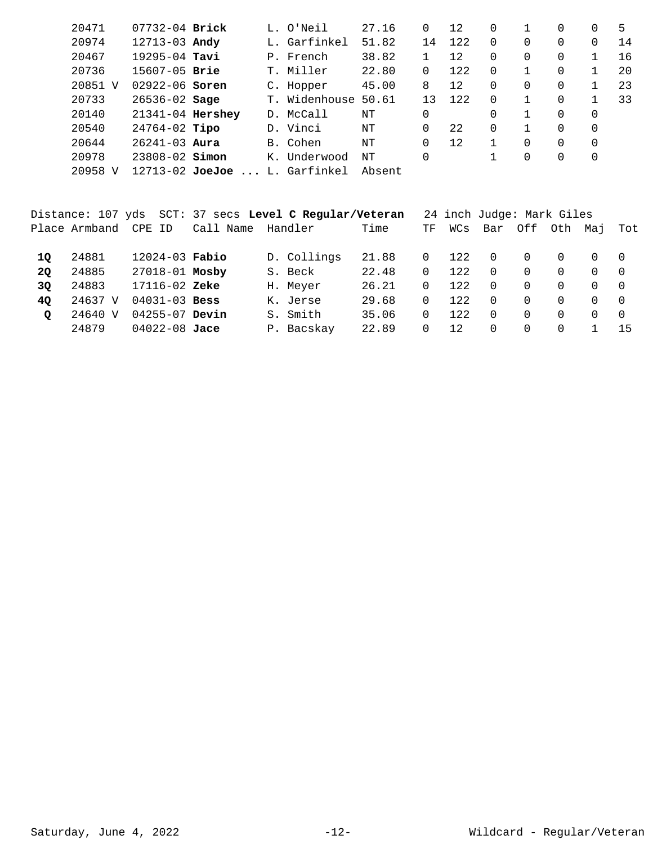| 20471       | $07732 - 04$ Brick  |                | L. O'Neil    | 27.16  | 0  | 12  | 0        |          | 0        | 0        | 5  |
|-------------|---------------------|----------------|--------------|--------|----|-----|----------|----------|----------|----------|----|
| 20974       | $12713 - 03$ Andy   |                | L. Garfinkel | 51.82  | 14 | 122 | $\Omega$ | 0        | 0        | 0        | 14 |
| 20467       | $19295 - 04$ Tavi   |                | P. French    | 38.82  |    | 12  | 0        | 0        | $\Omega$ |          | 16 |
| 20736       | $15607 - 05$ Brie   |                | T. Miller    | 22.80  | 0  | 122 | $\Omega$ |          | $\Omega$ |          | 20 |
| 20851 V     | $02922 - 06$ Soren  |                | C. Hopper    | 45.00  | 8  | 12  | $\Omega$ | $\Omega$ | $\Omega$ |          | 23 |
| 20733       | $26536 - 02$ Sage   | $T_{\rm{eff}}$ | Widenhouse   | 50.61  | 13 | 122 | $\Omega$ |          | 0        |          | 33 |
| 20140       | 21341-04 Hershey    |                | D. McCall    | NΤ     | 0  |     | 0        |          | $\Omega$ | 0        |    |
| 20540       | $24764-02$ Tipo     |                | D. Vinci     | NΤ     | 0  | 22  | $\Omega$ |          | $\Omega$ | $\Omega$ |    |
| 20644       | $26241 - 03$ Aura   |                | B. Cohen     | NΤ     | 0  | 12  |          | $\Omega$ | $\Omega$ | 0        |    |
| 20978       | $23808 - 02$ Simon  |                | K. Underwood | NΤ     | 0  |     |          | 0        | 0        | 0        |    |
| 20958<br>N. | $12713 - 02$ JoeJoe |                | L. Garfinkel | Absent |    |     |          |          |          |          |    |
|             |                     |                |              |        |    |     |          |          |          |          |    |

|         |               |                    |                   | Distance: 107 yds SCT: 37 secs Level C Regular/Veteran |       |          | 24 inch Judge: Mark Giles |          |          |          |              |     |
|---------|---------------|--------------------|-------------------|--------------------------------------------------------|-------|----------|---------------------------|----------|----------|----------|--------------|-----|
|         | Place Armband | CPE ID             | Call Name Handler |                                                        | Time  | TF       | WCs                       |          | Bar Off  | Oth Mai  |              | Tot |
| 10      | 24881         | $12024 - 03$ Fabio |                   | D. Collings                                            | 21.88 | $\Omega$ | 122                       | . O      | $\Omega$ | $\Omega$ | $\Omega$     |     |
| 20      | 24885         | 27018-01 Mosby     |                   | S. Beck                                                | 22.48 | $\Omega$ | 12.2.                     | $\Omega$ | $\Omega$ | $\Omega$ | $\Omega$     |     |
| 3Q      | 24883         | $17116 - 02$ Zeke  |                   | H. Meyer                                               | 26.21 | $\Omega$ | 122                       | $\Omega$ | $\Omega$ | $\Omega$ | $\Omega$     |     |
| 40      | 24637 V       | $04031 - 03$ Bess  |                   | K. Jerse                                               | 29.68 | $\Omega$ | 12.2.                     | $\Omega$ | $\Omega$ | $\Omega$ | $\Omega$     | - 0 |
| $\circ$ | 24640 V       | $04255 - 07$ Devin |                   | S. Smith                                               | 35.06 | $\Omega$ | 12.2.                     | $\Omega$ | $\Omega$ | $\Omega$ | <sup>n</sup> | - 0 |
|         | 24879         | $04022 - 08$ Jace  |                   | P. Bacskay                                             | 22.89 | $\Omega$ | 12                        | $\Omega$ | $\Omega$ | $\Omega$ |              | -15 |
|         |               |                    |                   |                                                        |       |          |                           |          |          |          |              |     |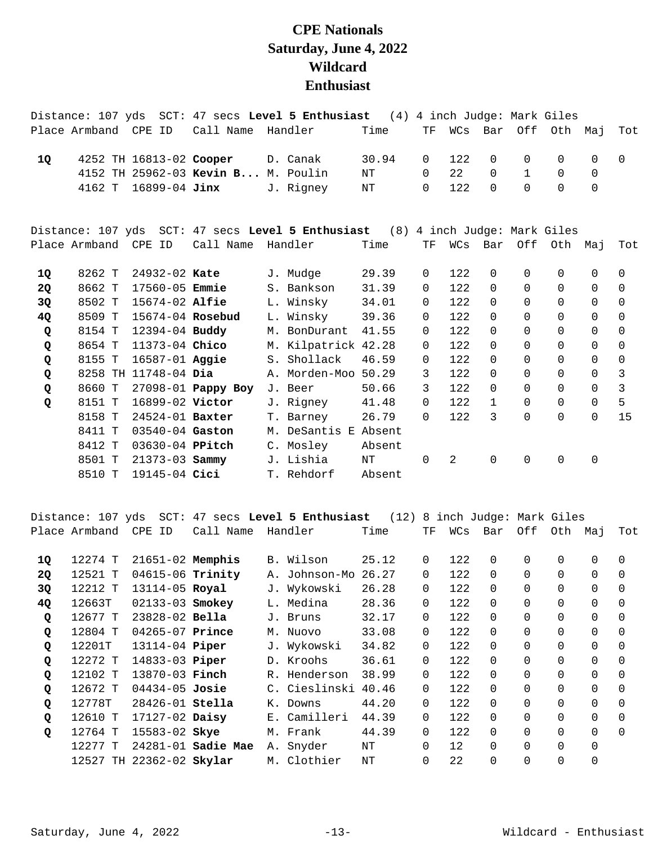## **CPE Nationals Saturday, June 4, 2022 Wildcard Enthusiast**

|                    |                      |                       |                                    | Distance: 107 yds SCT: 47 secs Level 5 Enthusiast (4)                          |        |                |     |              | 4 inch Judge: Mark Giles |              |             |              |
|--------------------|----------------------|-----------------------|------------------------------------|--------------------------------------------------------------------------------|--------|----------------|-----|--------------|--------------------------|--------------|-------------|--------------|
|                    | Place Armband CPE ID |                       | Call Name Handler                  |                                                                                | Time   | TF             |     | WCs Bar      |                          | Off Oth Maj  |             | Tot          |
| 1Q                 |                      |                       | 4252 TH 16813-02 Cooper D. Canak   |                                                                                | 30.94  | $\Omega$       | 122 | $\Omega$     | $\Omega$                 | $\Omega$     | $\Omega$    | $\Omega$     |
|                    |                      |                       | 4152 TH 25962-03 Kevin B M. Poulin |                                                                                | ΝT     | $\Omega$       | 22  | $\Omega$     | $\mathbf{1}$             | $\Omega$     | $\Omega$    |              |
|                    |                      | 4162 T 16899-04 Jinx  |                                    | J. Rigney                                                                      | ΝT     | $\Omega$       | 122 | $\Omega$     | $\Omega$                 | $\Omega$     | $\Omega$    |              |
|                    |                      |                       |                                    | Distance: 107 yds SCT: 47 secs Level 5 Enthusiast (8) 4 inch Judge: Mark Giles |        |                |     |              |                          |              |             |              |
|                    | Place Armband CPE ID |                       | Call Name Handler                  |                                                                                | Time   | TF             |     | WCs Bar      |                          | Off Oth Maj  |             | Tot          |
| 1Q                 | 8262 T               | 24932-02 Kate         |                                    | J. Mudge                                                                       | 29.39  | $\overline{0}$ | 122 | $\Omega$     | $\Omega$                 | $\Omega$     | $\mathbf 0$ | $\Omega$     |
| 2Q                 | 8662 T               | 17560-05 <b>Emmie</b> |                                    | S. Bankson                                                                     | 31.39  | $\Omega$       | 122 | $\Omega$     | $\Omega$                 | $\Omega$     | $\Omega$    | $\Omega$     |
| 3Q                 | 8502 T               | 15674-02 <b>Alfie</b> |                                    | L. Winsky                                                                      | 34.01  | 0              | 122 | $\Omega$     | $\Omega$                 | $\Omega$     | $\Omega$    | $\Omega$     |
| 4Q                 | 8509 T               | 15674-04 Rosebud      |                                    | L. Winsky                                                                      | 39.36  | $\Omega$       | 122 | $\Omega$     | $\Omega$                 | $\Omega$     | $\Omega$    | $\Omega$     |
| Q                  | 8154 T               | 12394-04 Buddy        |                                    | M. BonDurant                                                                   | 41.55  | 0              | 122 | $\Omega$     | $\Omega$                 | $\Omega$     | $\Omega$    | $\Omega$     |
| Q                  | 8654 T               | 11373-04 Chico        |                                    | M. Kilpatrick 42.28                                                            |        | 0              | 122 | $\Omega$     | $\Omega$                 | $\Omega$     | $\Omega$    | $\Omega$     |
| Q                  | 8155 T               | $16587 - 01$ Aggie    |                                    | S. Shollack                                                                    | 46.59  | $\Omega$       | 122 | $\Omega$     | $\Omega$                 | $\Omega$     | $\Omega$    | $\Omega$     |
| Q                  |                      | 8258 TH 11748-04 Dia  |                                    | A. Morden-Moo 50.29                                                            |        | 3              | 122 | $\Omega$     | $\Omega$                 | $\Omega$     | $\Omega$    | 3            |
| $\pmb{\mathsf{Q}}$ | 8660 T               |                       | 27098-01 <b>Pappy Boy</b>          | J. Beer                                                                        | 50.66  | 3              | 122 | $\Omega$     | $\Omega$                 | $\Omega$     | $\Omega$    | $\mathbf{3}$ |
| Q                  | 8151 T               | 16899-02 Victor       |                                    | J. Rigney                                                                      | 41.48  | $\Omega$       | 122 | $\mathbf{1}$ | $\Omega$                 | $\Omega$     | $\Omega$    | 5            |
|                    | 8158 T               | $24524 - 01$ Baxter   |                                    | T. Barney                                                                      | 26.79  | $\Omega$       | 122 | 3            | $\Omega$                 | $\Omega$     | $\Omega$    | 15           |
|                    | 8411 T               | $03540 - 04$ Gaston   |                                    | M. DeSantis E Absent                                                           |        |                |     |              |                          |              |             |              |
|                    | 8412 T               | 03630-04 PPitch       |                                    | C. Mosley                                                                      | Absent |                |     |              |                          |              |             |              |
|                    | 8501 T               | $21373 - 03$ Sammy    |                                    | J. Lishia                                                                      | NΤ     | $\Omega$       | 2   | $\Omega$     | $\Omega$                 | $\mathsf{O}$ | $\mathbf 0$ |              |
|                    | 8510 T               | 19145-04 Cici         |                                    | T. Rehdorf                                                                     | Absent |                |     |              |                          |              |             |              |

|             |               |                          |                           | Distance: 107 yds SCT: 47 secs Level 5 Enthusiast | (12) 8 inch Judge: Mark Giles |          |                   |          |          |          |          |          |
|-------------|---------------|--------------------------|---------------------------|---------------------------------------------------|-------------------------------|----------|-------------------|----------|----------|----------|----------|----------|
|             | Place Armband | CPE ID                   | Call Name                 | Handler                                           | Time                          | TF       | WCs               | Bar      | Off      | Oth      | Maj      | Tot      |
|             |               |                          |                           |                                                   |                               |          |                   |          |          |          |          |          |
| 10          | 12274 T       | $21651-02$ Memphis       |                           | B. Wilson                                         | 25.12                         | 0        | 122               | $\Omega$ | $\Omega$ | $\Omega$ | 0        | $\Omega$ |
| 2Q          | 12521 T       | $04615 - 06$ Trinity     |                           | A. Johnson-Mo                                     | 26.27                         | 0        | 122               | $\Omega$ | $\Omega$ | $\Omega$ | 0        | $\Omega$ |
| 3Q          | 12212 T       | 13114-05 Royal           |                           | J. Wykowski                                       | 26.28                         | 0        | 122               | $\Omega$ | $\Omega$ | $\Omega$ | $\Omega$ | $\Omega$ |
| 4Q          | 12663T        | 02133-03 Smokey          |                           | L. Medina                                         | 28.36                         | $\Omega$ | 122               | $\Omega$ | $\Omega$ | $\Omega$ | 0        | $\Omega$ |
| Q           | 12677 T       | $23828 - 02$ Bella       |                           | J. Bruns                                          | 32.17                         | $\Omega$ | 122               | $\Omega$ | $\Omega$ | $\Omega$ | 0        | $\Omega$ |
| Q           | 12804 T       | $04265 - 07$ Prince      |                           | M. Nuovo                                          | 33.08                         | $\Omega$ | 122               | $\Omega$ | $\Omega$ | $\Omega$ | 0        | $\Omega$ |
| Q           | 12201T        | 13114-04 <b>Piper</b>    |                           | J. Wykowski                                       | 34.82                         | 0        | 122               | $\Omega$ |          | $\Omega$ | 0        | 0        |
| Q           | 12272 T       | 14833-03 <b>Piper</b>    |                           | D. Kroohs                                         | 36.61                         | 0        | 122               | $\Omega$ | $\Omega$ | $\Omega$ | $\Omega$ | $\Omega$ |
| Q           | 12102 T       | 13870-03 <b>Finch</b>    |                           | R. Henderson                                      | 38.99                         | 0        | 122               | $\Omega$ | $\Omega$ | $\Omega$ | 0        | $\Omega$ |
| $\mathbf Q$ | 12672 T       | $04434 - 05$ Josie       |                           | C. Cieslinski                                     | 40.46                         | $\Omega$ | 122               | $\Omega$ | $\Omega$ | 0        | 0        | $\Omega$ |
| Q           | 12778T        | $28426 - 01$ Stella      |                           | K. Downs                                          | 44.20                         | $\Omega$ | 122               | $\Omega$ | $\Omega$ | $\Omega$ | $\Omega$ | $\Omega$ |
| $\mathbf Q$ | 12610 T       | 17127-02 <b>Daisy</b>    |                           | E. Camilleri                                      | 44.39                         | 0        | 122               | $\Omega$ | $\Omega$ | $\Omega$ | $\Omega$ | $\Omega$ |
| $\mathbf Q$ | 12764 T       | 15583-02 <b>Skye</b>     |                           | M. Frank                                          | 44.39                         | $\Omega$ | 122               | $\Omega$ | $\Omega$ | $\Omega$ | 0        | $\Omega$ |
|             | 12277 T       |                          | 24281-01 <b>Sadie Mae</b> | A. Snyder                                         | NT                            | $\Omega$ | $12 \overline{ }$ | $\Omega$ | $\Omega$ | $\Omega$ | 0        |          |
|             |               | 12527 TH 22362-02 Skylar |                           | M. Clothier                                       | NΤ                            | $\Omega$ | 22                | 0        | $\Omega$ | 0        | 0        |          |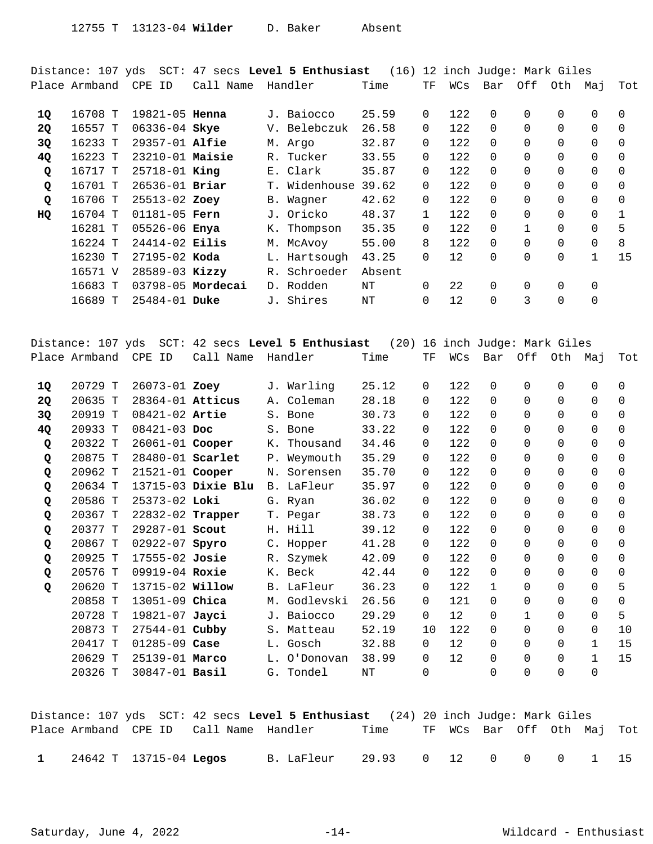Distance: 107 yds SCT: 47 secs **Level 5 Enthusiast** (16) 12 inch Judge: Mark Giles Place Armband CPE ID Call Name Handler Time TF WCs Bar Off Oth Maj Tot 16708 T 19821-05 J. Baiocco 25.59 0 122 0 0 0 0 0 **1Q Henna**  16557 T 06336-04 V. Belebczuk 26.58 0 122 0 0 0 0 0 **2Q Skye**  16233 T 29357-01 M. Argo 32.87 0 122 0 0 0 0 0 **3Q Alfie**  16223 T 23210-01 R. Tucker 33.55 0 122 0 0 0 0 0 **4Q Maisie**  16717 T 25718-01 E. Clark 35.87 0 122 0 0 0 0 0 **Q King**  16701 T 26536-01 T. Widenhouse 39.62 0 122 0 0 0 0 0 **Q Briar**  16706 T 25513-02 B. Wagner 42.62 0 122 0 0 0 0 0 **Q Zoey**  16704 T 01181-05 J. Oricko 48.37 1 122 0 0 0 0 1 **HQ Fern**  16281 T 05526-06 K. Thompson 35.35 0 122 0 1 0 0 5 **Enya**  16224 T 24414-02 M. McAvoy 55.00 8 122 0 0 0 0 8 **Eilis**  16230 T 27195-02 L. Hartsough 43.25 0 12 0 0 0 1 15 **Koda**  16571 V 28589-03 Kizzy R. Schroeder Absent 16683 T 03798-05 D. Rodden NT 0 22 0 0 0 0 **Mordecai**  16689 T 25484-01 J. Shires NT 0 12 0 3 0 0 **Duke** 

|           | Distance: 107 yds |                        |                    | SCT: 42 secs Level 5 Enthusiast | (20)  |             |     | 16 inch Judge: Mark Giles |              |          |              |          |
|-----------|-------------------|------------------------|--------------------|---------------------------------|-------|-------------|-----|---------------------------|--------------|----------|--------------|----------|
|           | Place Armband     | CPE ID                 | Call Name          | Handler                         | Time  | TF          | WCs | Bar                       | Off          | Oth Maj  |              | Tot      |
|           |                   |                        |                    |                                 |       |             |     |                           |              |          |              |          |
| 10        | 20729 T           | 26073-01 Zoey          |                    | J. Warling                      | 25.12 | $\Omega$    | 122 | $\Omega$                  | 0            | 0        | $\Omega$     | $\Omega$ |
| <b>2Q</b> | 20635 T           | 28364-01 Atticus       |                    | A. Coleman                      | 28.18 | 0           | 122 | $\Omega$                  | $\Omega$     | $\Omega$ | $\Omega$     | 0        |
| 3Q        | 20919 T           | 08421-02 Artie         |                    | S. Bone                         | 30.73 | $\Omega$    | 122 | $\Omega$                  | $\Omega$     | 0        | 0            | $\Omega$ |
| 4Q        | 20933 T           | $08421 - 03$ Doc       |                    | S. Bone                         | 33.22 | $\Omega$    | 122 | $\Omega$                  | $\Omega$     | $\Omega$ | $\Omega$     | $\Omega$ |
| Q         | 20322 T           | 26061-01 Cooper        |                    | K. Thousand                     | 34.46 | $\mathbf 0$ | 122 | $\Omega$                  | $\Omega$     | $\Omega$ | $\Omega$     | $\Omega$ |
| Q         | 20875 T           | 28480-01 Scarlet       |                    | P. Weymouth                     | 35.29 | $\Omega$    | 122 | $\Omega$                  | $\Omega$     | $\Omega$ | $\Omega$     | $\Omega$ |
| Q         | 20962 T           | 21521-01 Cooper        |                    | N. Sorensen                     | 35.70 | $\Omega$    | 122 | $\Omega$                  | $\Omega$     | $\Omega$ | $\Omega$     | $\Omega$ |
| Q         | 20634 T           |                        | 13715-03 Dixie Blu | B. LaFleur                      | 35.97 | $\Omega$    | 122 | $\Omega$                  | $\Omega$     | $\Omega$ | $\Omega$     | $\Omega$ |
| Q         | 20586 T           | 25373-02 Loki          |                    | G. Ryan                         | 36.02 | 0           | 122 | $\Omega$                  | $\Omega$     | $\Omega$ | $\Omega$     | $\Omega$ |
| Q         | 20367 T           |                        | 22832-02 Trapper   | T. Pegar                        | 38.73 | $\Omega$    | 122 | $\Omega$                  | $\Omega$     | $\Omega$ | $\Omega$     | $\Omega$ |
| Q         | 20377 T           | 29287-01 Scout         |                    | H. Hill                         | 39.12 | $\mathbf 0$ | 122 | $\Omega$                  | $\Omega$     | $\Omega$ | $\Omega$     | $\Omega$ |
| Q         | 20867 T           | 02922-07 Spyro         |                    | C. Hopper                       | 41.28 | $\mathbf 0$ | 122 | $\Omega$                  | $\Omega$     | $\Omega$ | $\Omega$     | $\Omega$ |
| Q         | 20925 T           | 17555-02 Josie         |                    | R. Szymek                       | 42.09 | $\mathbf 0$ | 122 | $\Omega$                  | $\Omega$     | $\Omega$ | $\Omega$     | $\Omega$ |
| Q         | 20576 T           | 09919-04 Roxie         |                    | K. Beck                         | 42.44 | $\Omega$    | 122 | $\Omega$                  | $\Omega$     | $\Omega$ | $\Omega$     | $\Omega$ |
| Q         | 20620 T           | 13715-02 <b>Willow</b> |                    | B. LaFleur                      | 36.23 | $\Omega$    | 122 | $\mathbf{1}$              | $\Omega$     | $\Omega$ | $\Omega$     | 5        |
|           | 20858 T           | 13051-09 Chica         |                    | M. Godlevski                    | 26.56 | $\Omega$    | 121 | $\Omega$                  | $\Omega$     | $\Omega$ | $\Omega$     | $\Omega$ |
|           | 20728 T           | 19821-07 Jayci         |                    | J. Baiocco                      | 29.29 | $\Omega$    | 12  | $\Omega$                  | $\mathbf{1}$ | $\Omega$ | $\Omega$     | 5        |
|           | 20873 T           | 27544-01 Cubby         |                    | S. Matteau                      | 52.19 | 10          | 122 | $\Omega$                  | $\Omega$     | $\Omega$ | $\Omega$     | 10       |
|           | 20417 T           | $01285 - 09$ Case      |                    | L. Gosch                        | 32.88 | 0           | 12  | $\Omega$                  | $\Omega$     | $\Omega$ | $\mathbf{1}$ | 15       |
|           | 20629 T           | 25139-01 Marco         |                    | L. O'Donovan                    | 38.99 | $\mathbf 0$ | 12  | $\Omega$                  | $\Omega$     | 0        | $\mathbf{1}$ | 15       |
|           | 20326 T           | 30847-01 <b>Basil</b>  |                    | G. Tondel                       | NT    | $\Omega$    |     | $\Omega$                  | $\Omega$     | $\Omega$ | $\Omega$     |          |
|           |                   |                        |                    |                                 |       |             |     |                           |              |          |              |          |

|  |                        |                                        | Distance: 107 yds SCT: 42 secs Level 5 Enthusiast (24) 20 inch Judge: Mark Giles |                    |  |                            |  |    |
|--|------------------------|----------------------------------------|----------------------------------------------------------------------------------|--------------------|--|----------------------------|--|----|
|  |                        | Place Armband CPE ID Call Name Handler |                                                                                  | Time               |  | TF WCs Bar Off Oth Maj Tot |  |    |
|  | 24642 T 13715-04 Legos |                                        | B. LaFleur                                                                       | 29.93 0 12 0 0 0 1 |  |                            |  | 15 |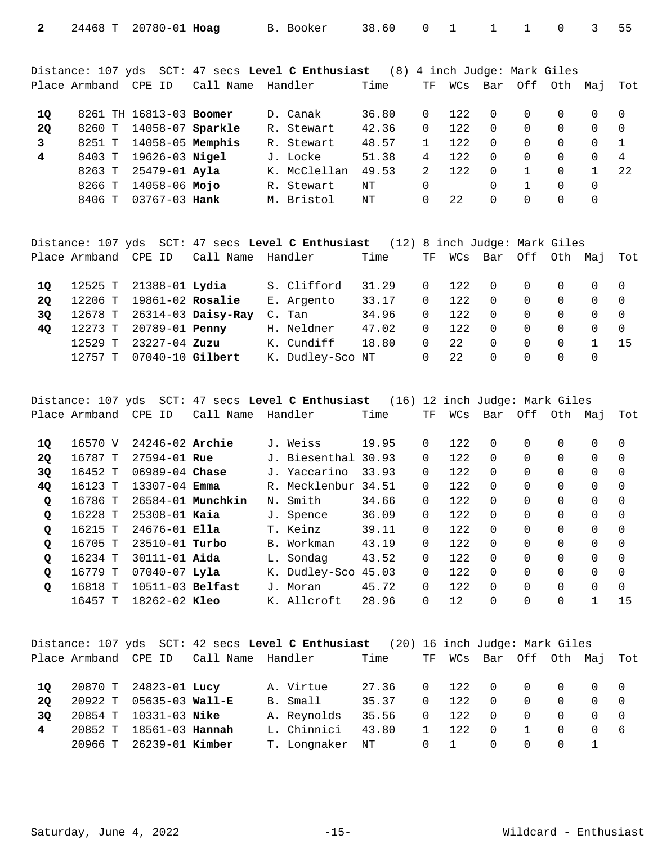| $\mathbf{2}$ | 24468 T | $20780 - 01$ Hoag       |           | B. Booker                                                                      | 38.60 | $\Omega$      |         |          |          | $\Omega$ | 3        | 55       |
|--------------|---------|-------------------------|-----------|--------------------------------------------------------------------------------|-------|---------------|---------|----------|----------|----------|----------|----------|
|              |         |                         |           |                                                                                |       |               |         |          |          |          |          |          |
|              |         |                         |           |                                                                                |       |               |         |          |          |          |          |          |
|              |         |                         |           | Distance: 107 yds SCT: 47 secs Level C Enthusiast (8) 4 inch Judge: Mark Giles |       |               |         |          |          |          |          |          |
|              |         | Place Armband CPE ID    | Call Name | Handler                                                                        | Time  | TF.           | WCs Bar |          | Off      | Oth      | Мај      | Tot      |
|              |         |                         |           |                                                                                |       |               |         |          |          |          |          |          |
| 1Q           |         | 8261 TH 16813-03 Boomer |           | D. Canak                                                                       | 36.80 | $\Omega$      | 122     | $\Omega$ | $\Omega$ | $\Omega$ | $\Omega$ | $\Omega$ |
| 2Q           | 8260 T  | 14058-07 Sparkle        |           | R. Stewart                                                                     | 42.36 | $\Omega$      | 12.2    | $\Omega$ | $\Omega$ | $\Omega$ | $\Omega$ | $\Omega$ |
| 3            | 8251 T  | $14058-05$ Memphis      |           | R. Stewart                                                                     | 48.57 |               | 12.2    | $\Omega$ | $\Omega$ | $\Omega$ | $\Omega$ |          |
| 4            | 8403 T  | $19626 - 03$ Nigel      |           | J. Locke                                                                       | 51.38 | 4             | 12.2    | $\Omega$ | $\Omega$ | $\Omega$ | $\Omega$ | 4        |
|              | 8263 T  | $25479 - 01$ Ayla       |           | K. McClellan                                                                   | 49.53 | $\mathcal{L}$ | 12.2    | $\Omega$ |          | $\Omega$ |          | 22       |
|              | 8266 T  | 14058-06 Mojo           |           | R. Stewart                                                                     | NΤ    | $\Omega$      |         | $\Omega$ |          | $\Omega$ | $\Omega$ |          |
|              | 8406 T  | $03767 - 03$ Hank       |           | M. Bristol                                                                     | NΤ    | 0             | 22      | 0        | 0        | 0        | 0        |          |
|              |         |                         |           |                                                                                |       |               |         |          |          |          |          |          |

|    |                      |                               |                            | Distance: 107 yds SCT: 47 secs Level C Enthusiast | (12) 8 inch Judge: Mark Giles |          |       |                 |                |                |          |                |
|----|----------------------|-------------------------------|----------------------------|---------------------------------------------------|-------------------------------|----------|-------|-----------------|----------------|----------------|----------|----------------|
|    | Place Armband CPE ID |                               | Call Name Handler          |                                                   | Time                          | TF       | WCs   | Bar Off Oth Maj |                |                |          | Tot            |
| 10 |                      | 12525 T 21388-01 <b>Lydia</b> |                            | S. Clifford                                       | 31.29                         | $\Omega$ | 122   | $\overline{0}$  | $\overline{0}$ | $\bigcap$      | $\Omega$ | $\overline{0}$ |
| 20 | 12206 T              | 19861-02 Rosalie              |                            | E. Argento                                        | 33.17                         | $\Omega$ | 122   | $\Omega$        | $\Omega$       | $\Omega$       | $\Omega$ | $\bigcirc$     |
| 3Q |                      |                               | 12678 T 26314-03 Daisy-Ray | C. Tan                                            | 34.96                         | $\Omega$ | 12.2. | $\Omega$        | $\Omega$       | $\Omega$       | $\Omega$ | $\bigcirc$     |
| 40 | 12273 T              | 20789-01 <b>Penny</b>         |                            | H. Neldner                                        | 47.02                         | $\Omega$ | 12.2. | $\Omega$        | $\Omega$       | $\Omega$       | $\Omega$ | $\bigcirc$     |
|    | 12529 T              | 23227-04 Zuzu                 |                            | K. Cundiff                                        | 18.80                         | $\Omega$ | 22    | $\Omega$        | $\Omega$       | $\overline{0}$ |          | 15             |
|    | 12757 T              | $07040 - 10$ Gilbert          |                            | K. Dudley-Sco NT                                  |                               | 0        | 22    | $\Omega$        | $\Omega$       | $\Omega$       | $\Omega$ |                |
|    |                      |                               |                            |                                                   |                               |          |       |                 |                |                |          |                |

Distance: 107 yds SCT: 47 secs **Level C Enthusiast** (16) 12 inch Judge: Mark Giles Place Armband CPE ID Call Name Handler Time TF WCs Bar Off Oth Maj Tot

| 10           | 16570 V    | $24246 - 02$ Archie |                   | J. Weiss            | 19.95 | 0        | 122  |          | 0 | 0        | 0 | $\Omega$ |
|--------------|------------|---------------------|-------------------|---------------------|-------|----------|------|----------|---|----------|---|----------|
| <b>20</b>    | 16787 T    | $27594 - 01$ Rue    |                   | J. Biesenthal 30.93 |       | 0        | 122  | $\Omega$ | 0 | 0        | 0 | $\Omega$ |
| 3Q           | 16452 T    | $06989 - 04$ Chase  |                   | J. Yaccarino        | 33.93 | 0        | 122  | $\Omega$ | 0 | 0        | 0 | $\Omega$ |
| <b>40</b>    | 16123      | $13307 - 04$ Emma   |                   | R. Mecklenbur 34.51 |       | 0        | 122  | 0        | 0 | 0        | 0 | $\Omega$ |
| $\mathbf{Q}$ | 16786 T    |                     | 26584-01 Munchkin | N. Smith            | 34.66 | 0        | 122  |          | 0 | $\Omega$ | 0 | $\Omega$ |
| $\mathbf Q$  | 16228 T    | $25308 - 01$ Kaia   |                   | J. Spence           | 36.09 | 0        | 122  |          | 0 | $\Omega$ | 0 | $\Omega$ |
| $\mathbf Q$  | 16215 T    | $24676 - 01$ Ella   |                   | T. Keinz            | 39.11 | 0        | 122  |          | 0 | $\Omega$ | 0 | $\Omega$ |
| Q            | 16705 T    | $23510 - 01$ Turbo  |                   | B. Workman          | 43.19 | $\Omega$ | 12.2 |          | 0 | $\Omega$ | 0 | $\Omega$ |
| Q            | 16234 T    | $30111 - 01$ Aida   |                   | L. Sondag           | 43.52 | $\Omega$ | 122  |          | 0 | $\Omega$ | 0 | $\Omega$ |
| Q            | 16779 T    | $07040 - 07$ Lyla   |                   | K. Dudley-Sco       | 45.03 | 0        | 122  |          | 0 | $\Omega$ | 0 | $\Omega$ |
| Q            | 16818<br>௱ | 10511-03 Belfast    |                   | J. Moran            | 45.72 | 0        | 122  |          | 0 | $\Omega$ | 0 | $\Omega$ |
|              | 16457 T    | 18262-02 Kleo       |                   | K. Allcroft         | 28.96 | $\Omega$ | 12   |          | 0 | $\Omega$ |   | 15       |

|    |                         |                                            | Distance: 107 yds SCT: 42 secs Level C Enthusiast (20) 16 inch Judge: Mark Giles |       |          |                        |                |          |                                     |                                         |     |
|----|-------------------------|--------------------------------------------|----------------------------------------------------------------------------------|-------|----------|------------------------|----------------|----------|-------------------------------------|-----------------------------------------|-----|
|    |                         | Place Armband CPE ID - Call Name - Handler |                                                                                  | Time  |          | TF WCs Bar Off Oth Maj |                |          |                                     |                                         | Tot |
| 10 | 20870 T 24823-01 Lucy   |                                            | A. Virtue                                                                        | 27.36 | $\Omega$ | 122 0 0 0 0 0          |                |          |                                     |                                         |     |
| 20 | 20922 T 05635-03 Wall-E |                                            | B. Small                                                                         | 35.37 | $\Omega$ | 122                    | $\overline{0}$ | $\Omega$ |                                     | $\begin{matrix} 0 & 0 & 0 \end{matrix}$ |     |
| 30 | 20854 T 10331-03 Nike   |                                            | A. Reynolds                                                                      | 35.56 | $\Omega$ | 122                    | $\overline{0}$ | $\Omega$ | $\begin{matrix} 0 & 0 \end{matrix}$ |                                         |     |
| 4  | 20852 T 18561-03 Hannah |                                            | L. Chinnici                                                                      | 43.80 |          | 122                    | $\overline{0}$ |          | $\bigcap$                           | 0 6                                     |     |
|    | 20966 T 26239-01 Kimber |                                            | T. Longnaker                                                                     | NT    | $\Omega$ | $\sim$ 1               | $\Omega$       | $\Omega$ |                                     | $\begin{matrix} 0 & 1 \end{matrix}$     |     |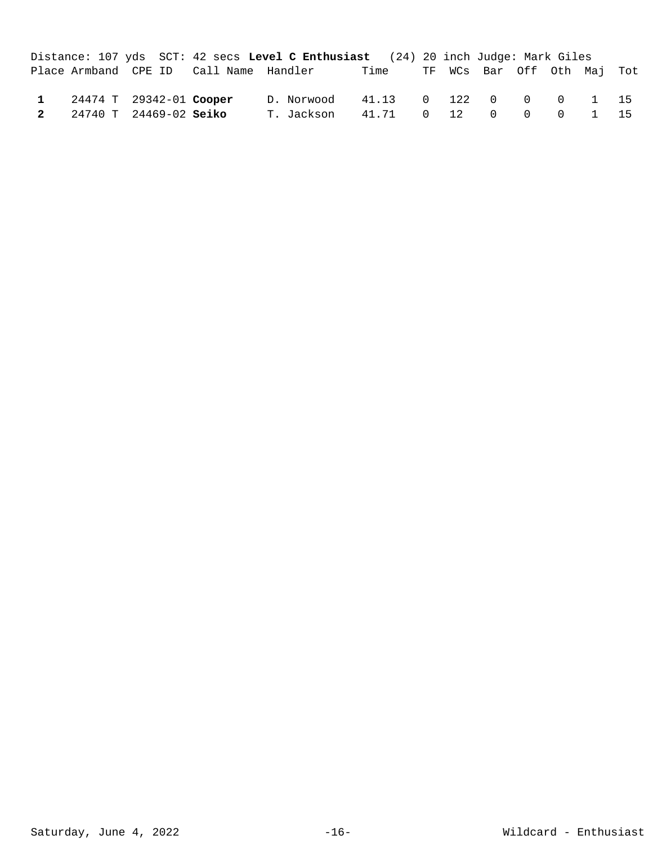|  |                           |                                        | Distance: 107 yds SCT: 42 secs Level C Enthusiast (24) 20 inch Judge: Mark Giles |                  |  |  |      |  |
|--|---------------------------|----------------------------------------|----------------------------------------------------------------------------------|------------------|--|--|------|--|
|  |                           | Place Armband CPE ID Call Name Handler |                                                                                  |                  |  |  |      |  |
|  | 1 24474 T 29342-01 Cooper |                                        | D. Norwood 41.13 0 122 0 0 0 1 15                                                |                  |  |  |      |  |
|  | 2 24740 T 24469-02 Seiko  |                                        | T. Jackson                                                                       | 41.71 0 12 0 0 0 |  |  | 1 15 |  |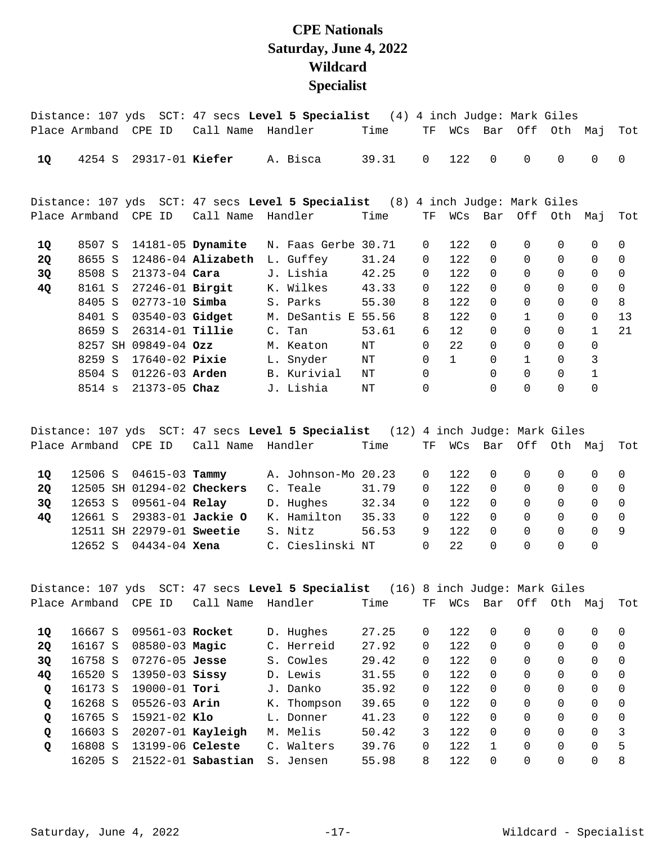## **CPE Nationals Saturday, June 4, 2022 Wildcard Specialist**

|           |                      |                          |                      | Distance: 107 yds SCT: 47 secs Level 5 Specialist (4) 4 inch Judge: Mark Giles |       |                |                 |          |              |             |              |          |
|-----------|----------------------|--------------------------|----------------------|--------------------------------------------------------------------------------|-------|----------------|-----------------|----------|--------------|-------------|--------------|----------|
|           | Place Armband CPE ID |                          | Call Name            | Handler                                                                        | Time  | TF             | WCs             | Bar      |              | Off Oth     | Мај          | Tot      |
| 10        | 4254 S               | 29317-01 Kiefer          |                      | A. Bisca                                                                       | 39.31 | $\overline{0}$ | 122             | $\Omega$ | $\Omega$     | $\mathbf 0$ | $\mathbf 0$  | $\Omega$ |
|           |                      |                          |                      | Distance: 107 yds SCT: 47 secs Level 5 Specialist (8) 4 inch Judge: Mark Giles |       |                |                 |          |              |             |              |          |
|           | Place Armband CPE ID |                          | Call Name Handler    |                                                                                | Time  | TF             | WCs             | Bar      |              | Off Oth     | Мај          | Tot      |
| 1Q        | 8507 S               | 14181-05 <b>Dynamite</b> |                      | N. Faas Gerbe 30.71                                                            |       | $\mathbf 0$    | 122             | $\Omega$ | $\Omega$     | $\Omega$    | $\Omega$     | $\Omega$ |
| <b>2Q</b> | 8655 S               |                          | $12486-04$ Alizabeth | L. Guffey                                                                      | 31.24 | $\mathbf 0$    | 122             | $\Omega$ | $\Omega$     | $\Omega$    | $\Omega$     | $\Omega$ |
| 3Q        |                      | 8508 S 21373-04 Cara     |                      | J. Lishia                                                                      | 42.25 | $\Omega$       | 122             | $\Omega$ | $\Omega$     | $\Omega$    | $\Omega$     | $\Omega$ |
| 4Q        |                      | 8161 S 27246-01 Birgit   |                      | K. Wilkes                                                                      | 43.33 | $\Omega$       | 122             | $\Omega$ | $\Omega$     | $\Omega$    | $\Omega$     | $\Omega$ |
|           | 8405 S               | 02773-10 <b>Simba</b>    |                      | S. Parks                                                                       | 55.30 | 8              | 122             | $\Omega$ | $\Omega$     | $\Omega$    | $\mathbf 0$  | 8        |
|           | 8401 S               | 03540-03 Gidget          |                      | M. DeSantis E 55.56                                                            |       | 8              | 122             | $\Omega$ |              | $\Omega$    | $\Omega$     | 13       |
|           | 8659 S               | 26314-01 <b>Tillie</b>   |                      | C. Tan                                                                         | 53.61 | 6              | 12 <sup>°</sup> | $\Omega$ | $\Omega$     | $\Omega$    | $\mathbf{1}$ | 21       |
|           |                      | 8257 SH 09849-04 Ozz     |                      | M. Keaton                                                                      | ΝT    | 0              | 22              | $\Omega$ | $\Omega$     | $\Omega$    | 0            |          |
|           | 8259 S               | 17640-02 <b>Pixie</b>    |                      | L. Snyder                                                                      | NΤ    | $\mathbf 0$    | $\mathbf{1}$    | $\Omega$ | $\mathbf{1}$ | $\Omega$    | 3            |          |
|           | 8504 S               | 01226-03 <b>Arden</b>    |                      | B. Kurivial                                                                    | ΝT    | $\Omega$       |                 | $\Omega$ | $\Omega$     | $\Omega$    | $\mathbf{1}$ |          |
|           |                      | 8514 s 21373-05 Chaz     |                      | J. Lishia                                                                      | ΝT    | $\Omega$       |                 | $\Omega$ | $\Omega$     | $\Omega$    | $\Omega$     |          |
|           |                      |                          |                      |                                                                                |       |                |                 |          |              |             |              |          |

|    |         |                               |                           | Distance: 107 yds SCT: 47 secs Level 5 Specialist (12) 4 inch Judge: Mark Giles |       |          |       |                     |          |          |          |            |
|----|---------|-------------------------------|---------------------------|---------------------------------------------------------------------------------|-------|----------|-------|---------------------|----------|----------|----------|------------|
|    |         | Place Armband CPE ID          | Call Name Handler         |                                                                                 | Time  | TF.      |       | WCs Bar Off Oth Maj |          |          |          | Tot        |
|    |         |                               |                           |                                                                                 |       |          |       |                     |          |          |          |            |
| 10 |         | 12506 S 04615-03 <b>Tammy</b> |                           | A. Johnson-Mo 20.23                                                             |       | $\Omega$ | 122   | $\bigcap$           | $\cap$   | $\Omega$ | $\Omega$ |            |
| 20 |         | 12505 SH 01294-02 Checkers    |                           | C. Teale                                                                        | 31.79 | $\Omega$ | 12.2  | $\overline{0}$      | $\Omega$ | $\Omega$ | $\Omega$ |            |
| 30 |         | 12653 S 09561-04 Relay        |                           | D. Hughes                                                                       | 32.34 | $\Omega$ | 122   | $\overline{0}$      | $\Omega$ | $\Omega$ | $\Omega$ | $\bigcirc$ |
| 40 |         |                               | 12661 S 29383-01 Jackie O | K. Hamilton                                                                     | 35.33 | $\Omega$ | 122   | $\overline{0}$      | $\Omega$ | $\Omega$ | $\Omega$ | - 0        |
|    |         | 12511 SH 22979-01 Sweetie     |                           | S. Nitz                                                                         | 56.53 | 9        | 12.2. | $\cap$              | $\Omega$ | $\Omega$ |          | - 9        |
|    | 12652 S | 04434-04 <b>Xena</b>          |                           | C. Cieslinski NT                                                                |       | $\Omega$ | 22    | $\Omega$            | $\Omega$ | $\Omega$ | 0        |            |
|    |         |                               |                           |                                                                                 |       |          |       |                     |          |          |          |            |

|              |               |                      | Distance: 107 yds SCT: 47 secs <b>Level 5 Specialist</b> |             | (16)  |          |       | 8 inch Judge: Mark Giles |          |          |          |          |
|--------------|---------------|----------------------|----------------------------------------------------------|-------------|-------|----------|-------|--------------------------|----------|----------|----------|----------|
|              | Place Armband | CPE<br>ID            | Call Name                                                | Handler     | Time  | ТF       | WCs   | Bar                      | Off      | Oth      | Мај      | Tot      |
|              |               |                      |                                                          |             |       |          |       |                          |          |          |          |          |
| <b>10</b>    | 16667 S       | 09561-03 Rocket      |                                                          | D. Hughes   | 27.25 | 0        | 12.2. | $\Omega$                 | $\Omega$ | $\Omega$ | 0        | $\Omega$ |
| <b>20</b>    | 16167 S       | $08580 - 03$ Magic   |                                                          | C. Herreid  | 27.92 | 0        | 122   | $\Omega$                 |          | $\Omega$ | 0        | $\Omega$ |
| 3Q           | 16758 S       | $07276 - 05$ Jesse   |                                                          | S. Cowles   | 29.42 | 0        | 122   | $\Omega$                 |          | 0        | $\Omega$ | $\Omega$ |
| 4Q           | 16520 S       | $13950 - 03$ Sissy   |                                                          | D. Lewis    | 31.55 | $\Omega$ | 122   | $\Omega$                 | 0        | 0        | $\Omega$ | $\Omega$ |
| $\mathbf{Q}$ | 16173 S       | 19000-01 <b>Tori</b> |                                                          | J. Danko    | 35.92 | $\Omega$ | 122   | $\Omega$                 | $\Omega$ | 0        | $\Omega$ | $\Omega$ |
| $\mathbf{Q}$ | 16268 S       | 05526-03 <b>Arin</b> |                                                          | K. Thompson | 39.65 | $\Omega$ | 122   | $\Omega$                 | $\Omega$ | 0        | $\Omega$ | $\Omega$ |
| $\mathbf{Q}$ | 16765 S       | $15921 - 02$ Klo     |                                                          | L. Donner   | 41.23 | $\Omega$ | 122   | $\Omega$                 | $\Omega$ | 0        | $\Omega$ | $\Omega$ |
| $\mathbf{Q}$ | 16603 S       |                      | $20207-01$ Kayleigh                                      | M. Melis    | 50.42 | 3        | 122.  | $\Omega$                 |          | 0        | $\Omega$ | 3        |
| $\circ$      | 16808 S       | 13199-06 Celeste     |                                                          | C. Walters  | 39.76 | 0        | 122.  |                          |          | $\Omega$ | $\Omega$ | 5        |
|              | 16205 S       |                      | $21522 - 01$ Sabastian                                   | S. Jensen   | 55.98 | 8        | 122   | $\Omega$                 |          | $\Omega$ | 0        | 8        |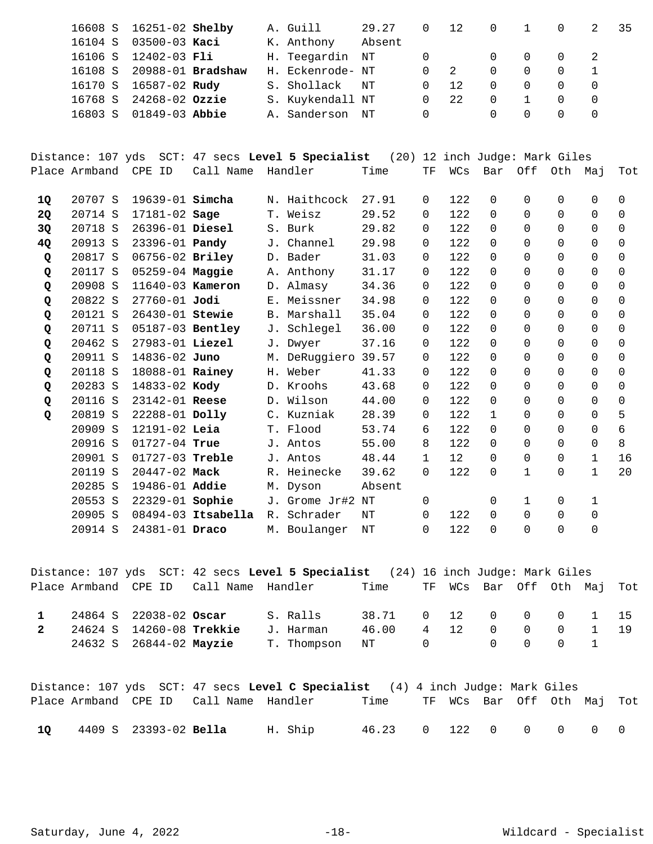|         | 16608 S 16251-02 Shelby  |  | A. Guill         | 29.27  |          | 12  |                                     |          | $\Omega$ | 35 |
|---------|--------------------------|--|------------------|--------|----------|-----|-------------------------------------|----------|----------|----|
| 16104 S | $03500 - 03$ Kaci        |  | K. Anthony       | Absent |          |     |                                     |          |          |    |
| 16106 S | 12402-03 Fli             |  | H. Teegardin NT  |        |          |     | $\begin{matrix} 0 & 0 \end{matrix}$ |          | $\Omega$ |    |
| 16108 S | 20988-01 <b>Bradshaw</b> |  | H. Eckenrode- NT |        |          |     | $\Omega$                            | $\Omega$ |          |    |
| 16170 S | 16587-02 <b>Rudy</b>     |  | S. Shollack      | NT     | $\Omega$ | 12. | $\Omega$                            | $\Omega$ |          |    |
| 16768 S | 24268-02 Ozzie           |  | S. Kuykendall NT |        |          | 22  | $\Omega$                            |          | $\Omega$ |    |
| 16803 S | 01849-03 Abbie           |  | A. Sanderson     | NT     |          |     |                                     |          |          |    |

Distance: 107 yds SCT: 47 secs **Level 5 Specialist** (20) 12 inch Judge: Mark Giles Place Armband CPE ID Call Name Handler Time TF WCs Bar Off Oth Maj Tot

| 20707 S |  |                                                                                                                                                                                                                                                                                                                                                                                                                                                                                         |          | 27.91                                                                                                                                                                                                                                                                                                             | $\Omega$      | 122  | $\Omega$ | 0           | $\Omega$     | $\Omega$     | $\Omega$ |
|---------|--|-----------------------------------------------------------------------------------------------------------------------------------------------------------------------------------------------------------------------------------------------------------------------------------------------------------------------------------------------------------------------------------------------------------------------------------------------------------------------------------------|----------|-------------------------------------------------------------------------------------------------------------------------------------------------------------------------------------------------------------------------------------------------------------------------------------------------------------------|---------------|------|----------|-------------|--------------|--------------|----------|
| 20714 S |  |                                                                                                                                                                                                                                                                                                                                                                                                                                                                                         |          | 29.52                                                                                                                                                                                                                                                                                                             | 0             | 122  | $\Omega$ | $\Omega$    | $\Omega$     | $\Omega$     | $\Omega$ |
| 20718 S |  |                                                                                                                                                                                                                                                                                                                                                                                                                                                                                         |          | 29.82                                                                                                                                                                                                                                                                                                             | 0             | 122. | $\Omega$ | 0           | $\Omega$     | $\Omega$     | $\Omega$ |
| 20913 S |  |                                                                                                                                                                                                                                                                                                                                                                                                                                                                                         |          | 29.98                                                                                                                                                                                                                                                                                                             | 0             | 122  | $\Omega$ | 0           | $\Omega$     | $\Omega$     | $\Omega$ |
| 20817 S |  |                                                                                                                                                                                                                                                                                                                                                                                                                                                                                         |          | 31.03                                                                                                                                                                                                                                                                                                             | 0             | 122  | $\Omega$ | 0           | $\Omega$     | $\Omega$     | $\Omega$ |
| 20117 S |  |                                                                                                                                                                                                                                                                                                                                                                                                                                                                                         |          | 31.17                                                                                                                                                                                                                                                                                                             | 0             | 122. | $\Omega$ | 0           | $\Omega$     | $\Omega$     | $\Omega$ |
| 20908 S |  |                                                                                                                                                                                                                                                                                                                                                                                                                                                                                         |          | 34.36                                                                                                                                                                                                                                                                                                             | 0             | 122  | $\Omega$ | 0           | $\Omega$     | $\Omega$     | $\Omega$ |
| 20822 S |  |                                                                                                                                                                                                                                                                                                                                                                                                                                                                                         | Meissner | 34.98                                                                                                                                                                                                                                                                                                             | 0             | 122  | $\Omega$ | 0           | $\Omega$     | $\Omega$     | $\Omega$ |
| 20121 S |  |                                                                                                                                                                                                                                                                                                                                                                                                                                                                                         |          | 35.04                                                                                                                                                                                                                                                                                                             | $\Omega$      | 122  | $\Omega$ | $\Omega$    | $\Omega$     | $\Omega$     | $\Omega$ |
| 20711 S |  |                                                                                                                                                                                                                                                                                                                                                                                                                                                                                         |          | 36.00                                                                                                                                                                                                                                                                                                             | $\Omega$      | 122  | $\Omega$ | $\Omega$    | $\Omega$     | $\Omega$     | $\Omega$ |
| 20462 S |  |                                                                                                                                                                                                                                                                                                                                                                                                                                                                                         |          | 37.16                                                                                                                                                                                                                                                                                                             | 0             | 122  | $\Omega$ | $\Omega$    | $\Omega$     | $\Omega$     | $\Omega$ |
| 20911 S |  |                                                                                                                                                                                                                                                                                                                                                                                                                                                                                         |          | 39.57                                                                                                                                                                                                                                                                                                             | 0             | 122  | $\Omega$ | 0           | $\Omega$     | $\Omega$     | $\Omega$ |
| 20118 S |  |                                                                                                                                                                                                                                                                                                                                                                                                                                                                                         |          | 41.33                                                                                                                                                                                                                                                                                                             | 0             | 122  | $\Omega$ | 0           | $\Omega$     | $\Omega$     | $\Omega$ |
| 20283 S |  |                                                                                                                                                                                                                                                                                                                                                                                                                                                                                         |          | 43.68                                                                                                                                                                                                                                                                                                             | 0             | 122  | 0        | 0           | $\Omega$     | $\Omega$     | 0        |
| 20116 S |  |                                                                                                                                                                                                                                                                                                                                                                                                                                                                                         |          | 44.00                                                                                                                                                                                                                                                                                                             | 0             | 122  | 0        | $\Omega$    | $\Omega$     | $\Omega$     | $\Omega$ |
| 20819 S |  |                                                                                                                                                                                                                                                                                                                                                                                                                                                                                         |          | 28.39                                                                                                                                                                                                                                                                                                             | 0             | 122  | 1        | $\Omega$    | $\Omega$     | $\Omega$     | 5        |
| 20909 S |  |                                                                                                                                                                                                                                                                                                                                                                                                                                                                                         |          | 53.74                                                                                                                                                                                                                                                                                                             | 6             | 122  | $\Omega$ | $\Omega$    | $\Omega$     | $\Omega$     | 6        |
| 20916 S |  |                                                                                                                                                                                                                                                                                                                                                                                                                                                                                         |          | 55.00                                                                                                                                                                                                                                                                                                             | 8             | 122  | $\Omega$ | $\Omega$    | $\Omega$     | $\Omega$     | 8        |
| 20901 S |  |                                                                                                                                                                                                                                                                                                                                                                                                                                                                                         |          | 48.44                                                                                                                                                                                                                                                                                                             | $\mathbf{1}$  | 12   | $\Omega$ | $\Omega$    | $\Omega$     | $\mathbf{1}$ | 16       |
| 20119 S |  |                                                                                                                                                                                                                                                                                                                                                                                                                                                                                         |          | 39.62                                                                                                                                                                                                                                                                                                             | $\Omega$      | 122  | $\Omega$ | 1           | $\Omega$     | $\mathbf 1$  | 20       |
| 20285 S |  | М.                                                                                                                                                                                                                                                                                                                                                                                                                                                                                      |          | Absent                                                                                                                                                                                                                                                                                                            |               |      |          |             |              |              |          |
| 20553 S |  |                                                                                                                                                                                                                                                                                                                                                                                                                                                                                         |          | NT                                                                                                                                                                                                                                                                                                                | 0             |      | 0        | $\mathbf 1$ | $\mathsf{O}$ | $\mathbf 1$  |          |
| 20905 S |  |                                                                                                                                                                                                                                                                                                                                                                                                                                                                                         | Schrader | NΤ                                                                                                                                                                                                                                                                                                                | $\Omega$      | 122  | $\Omega$ | $\Omega$    | $\Omega$     | $\Omega$     |          |
| 20914 S |  |                                                                                                                                                                                                                                                                                                                                                                                                                                                                                         |          | NΤ                                                                                                                                                                                                                                                                                                                | 0             | 122  | $\Omega$ | 0           | $\Omega$     | $\Omega$     |          |
|         |  | $19639-01$ Simcha<br>17181-02 Sage<br>26396-01 Diesel<br>23396-01 <b>Pandy</b><br>06756-02 Briley<br>05259-04 Maggie<br>11640-03 Kameron<br>$27760 - 01$ Jodi<br>26430-01 Stewie<br>05187-03 Bentley<br>27983-01 Liezel<br>14836-02 Juno<br>18088-01 Rainey<br>14833-02 Kody<br>$23142 - 01$ Reese<br>22288-01 Dolly<br>$12191 - 02$ Leia<br>$01727 - 04$ True<br>$01727 - 03$ Treble<br>$20447 - 02$ Mack<br>19486-01 Addie<br>22329-01 Sophie<br>08494-03 Itsabella<br>24381-01 Draco |          | N. Haithcock<br>T. Weisz<br>S. Burk<br>J. Channel<br>D. Bader<br>A. Anthony<br>D. Almasy<br>$E_{\perp}$<br>B. Marshall<br>J. Schlegel<br>J. Dwyer<br>H. Weber<br>D. Kroohs<br>D. Wilson<br>C. Kuzniak<br>T. Flood<br>J. Antos<br>J. Antos<br>R. Heinecke<br>Dyson<br>J. Grome Jr#2<br>$R_{\odot}$<br>M. Boulanger | M. DeRuggiero |      |          |             |              |              |          |

|              |                          |                                        | Distance: 107 yds SCT: 42 secs Level 5 Specialist (24) 16 inch Judge: Mark Giles |                       |      |                                             |  |            |  |
|--------------|--------------------------|----------------------------------------|----------------------------------------------------------------------------------|-----------------------|------|---------------------------------------------|--|------------|--|
|              |                          | Place Armband CPE ID Call Name Handler |                                                                                  | Time                  |      | TF WCs Bar Off Oth Maj Tot                  |  |            |  |
|              | 24864 S 22038-02 Oscar   |                                        | S. Ralls                                                                         | 38.71 0 12 0 0 0 1 15 |      |                                             |  |            |  |
| $\mathbf{2}$ | 24624 S 14260-08 Trekkie |                                        | J. Harman                                                                        | 46.00                 | 4 12 |                                             |  | 0 0 0 1 19 |  |
|              | 24632 S 26844-02 Mayzie  |                                        | T. Thompson NT 0                                                                 |                       |      | $\begin{matrix} 0 & 0 & 0 & 1 \end{matrix}$ |  |            |  |
|              |                          |                                        |                                                                                  |                       |      |                                             |  |            |  |

|     |                       |                                        |         | Distance: 107 yds SCT: 47 secs Level C Specialist (4) 4 inch Judge: Mark Giles |  |  |                            |  |
|-----|-----------------------|----------------------------------------|---------|--------------------------------------------------------------------------------|--|--|----------------------------|--|
|     |                       | Place Armband CPE ID Call Name Handler |         | Time                                                                           |  |  | TF WCs Bar Off Oth Maj Tot |  |
| -10 | 4409 S 23393-02 Bella |                                        | H. Ship | 46.23 0 122 0 0 0 0 0                                                          |  |  |                            |  |